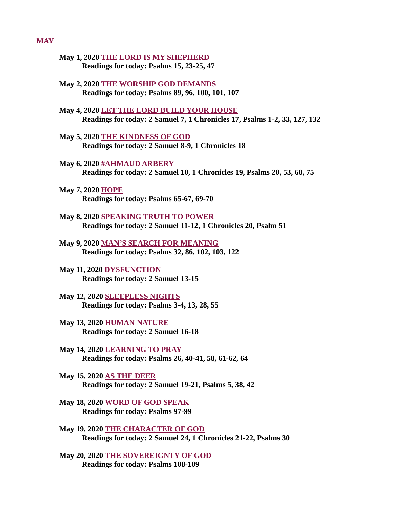#### **MAY**

- [May 1, 2020 THE LORD IS MY SHEPHERD](#page-2-0) Readings for today: Psalms 15, 23-25, 47
- May 2, 2020 THE WORSHIP GOD DEMANDS [Readings for today: Psalms 89, 96, 100, 101, 107](#page-4-0)
- May 4, 2020 LET THE LORD BUILD YOUR HOUSE [Readings for today: 2 Samuel 7, 1 Chronicles 17, Psalms 1-2, 33, 127, 132](#page-6-0)
- May 5, 2020 THE KINDNESS OF GOD [Readings for today: 2 Samuel 8-9, 1 Chronicles 18](#page-8-0)
- May 6, 2020 #AHMAUD ARBERY [Readings for today: 2 Samuel 10, 1 Chronicles 19, Psalms 20, 53, 60, 75](#page-10-0)
- May 7, 2020 HOPE [Readings for today: Psalms 65-67, 69-70](#page-12-0)
- May 8, 2020 SPEAKING TRUTH TO POWER [Readings for today: 2 Samuel 11-12, 1 Chronicles 20, Psalm 51](#page-13-0)
- [May 9, 2020 MAN'S SEARCH FOR MEANING](#page-15-0) Readings for today: Psalms 32, 86, 102, 103, 122
- May 11, 2020 DYSFUNCTION [Readings for today: 2 Samuel 13-15](#page-17-0)
- May 12, 2020 SLEEPLESS NIGHTS [Readings for today: Psalms 3-4, 13, 28, 55](#page-19-0)
- May 13, 2020 HUMAN NATURE [Readings for today: 2 Samuel 16-18](#page-20-0)
- May 14, 2020 LEARNING TO PRAY [Readings for today: Psalms 26, 40-41, 58, 61-62, 64](#page-22-0)
- May 15, 2020 AS THE DEER [Readings for today: 2 Samuel 19-21, Psalms 5, 38, 42](#page-23-0)
- [May 18, 2020 WORD OF GOD SPEAK](#page-24-0) Readings for today: Psalms 97-99
- May 19, 2020 THE CHARACTER OF GOD [Readings for today: 2 Samuel 24, 1 Chronicles 21-22, Psalms 30](#page-25-0)
- [May 20, 2020 THE SOVEREIGNTY OF GOD](#page-26-0) Readings for today: Psalms 108-109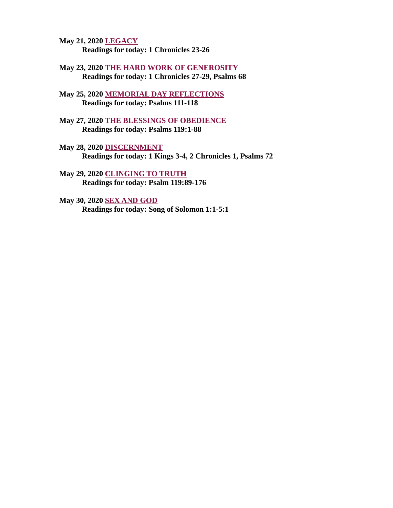- May 21, 2020 LEGACY [Readings for today: 1 Chronicles 23-26](#page-28-0)
- [May 23, 2020 THE HARD WORK OF GENEROSITY](#page-29-0) Readings for today: 1 Chronicles 27-29, Psalms 68
- [May 25, 2020 MEMORIAL DAY REFLECTIONS](#page-31-0) Readings for today: Psalms 111-118
- [May 27, 2020 THE BLESSINGS OF OBEDIENCE](#page-33-0) Readings for today: Psalms 119:1-88
- May 28, 2020 DISCERNMENT [Readings for today: 1 Kings 3-4, 2 Chronicles 1, Psalms 72](#page-35-0)
- [May 29, 2020 CLINGING TO TRUTH](#page-36-0) Readings for today: Psalm 119:89-176
- May 30, 2020 SEX AND GOD [Readings for today: Song of Solomon 1:1-5:1](#page-37-0)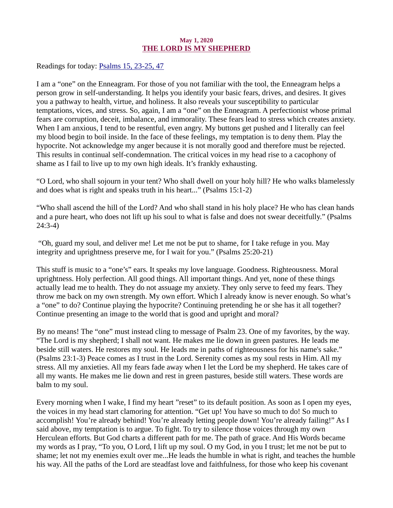# May 1, 2020 THE LORD IS MY SHEPHERD

<span id="page-2-0"></span>[Readings for today: Psalms 15, 23-25, 47](https://www.biblegateway.com/passage/?search=Psalms+15%2C+23-25%2C+47&version=ESV)

I am a "one" on the Enneagram. For those of you not familiar with the tool, the Enneagram helps a person grow in self-understanding. It helps you identify your basic fears, drives, and desires. It gives you a pathway to health, virtue, and holiness. It also reveals your susceptibility to particular temptations, vices, and stress. So, again, I am a "one" on the Enneagram. A perfectionist whose primal fears are corruption, deceit, imbalance, and immorality. These fears lead to stress which creates anxiety. When I am anxious, I tend to be resentful, even angry. My buttons get pushed and I literally can feel my blood begin to boil inside. In the face of these feelings, my temptation is to deny them. Play the hypocrite. Not acknowledge my anger because it is not morally good and therefore must be rejected. This results in continual self-condemnation. The critical voices in my head rise to a cacophony of shame as I fail to live up to my own high ideals. It's frankly exhausting.

"O Lord, who shall sojourn in your tent? Who shall dwell on your holy hill? He who walks blamelessly and does what is right and speaks truth in his heart..." (Psalms 15:1-2)

"Who shall ascend the hill of the Lord? And who shall stand in his holy place? He who has clean hands and a pure heart, who does not lift up his soul to what is false and does not swear deceitfully." (Psalms 24:3-4)

 "Oh, guard my soul, and deliver me! Let me not be put to shame, for I take refuge in you. May integrity and uprightness preserve me, for I wait for you." (Psalms 25:20-21)

This stuff is music to a "one's" ears. It speaks my love language. Goodness. Righteousness. Moral uprightness. Holy perfection. All good things. All important things. And yet, none of these things actually lead me to health. They do not assuage my anxiety. They only serve to feed my fears. They throw me back on my own strength. My own effort. Which I already know is never enough. So what's a "one" to do? Continue playing the hypocrite? Continuing pretending he or she has it all together? Continue presenting an image to the world that is good and upright and moral?

By no means! The "one" must instead cling to message of Psalm 23. One of my favorites, by the way. "The Lord is my shepherd; I shall not want. He makes me lie down in green pastures. He leads me beside still waters. He restores my soul. He leads me in paths of righteousness for his name's sake." (Psalms 23:1-3) Peace comes as I trust in the Lord. Serenity comes as my soul rests in Him. All my stress. All my anxieties. All my fears fade away when I let the Lord be my shepherd. He takes care of all my wants. He makes me lie down and rest in green pastures, beside still waters. These words are balm to my soul.

Every morning when I wake, I find my heart "reset" to its default position. As soon as I open my eyes, the voices in my head start clamoring for attention. "Get up! You have so much to do! So much to accomplish! You're already behind! You're already letting people down! You're already failing!" As I said above, my temptation is to argue. To fight. To try to silence those voices through my own Herculean efforts. But God charts a different path for me. The path of grace. And His Words became my words as I pray, "To you, O Lord, I lift up my soul. O my God, in you I trust; let me not be put to shame; let not my enemies exult over me...He leads the humble in what is right, and teaches the humble his way. All the paths of the Lord are steadfast love and faithfulness, for those who keep his covenant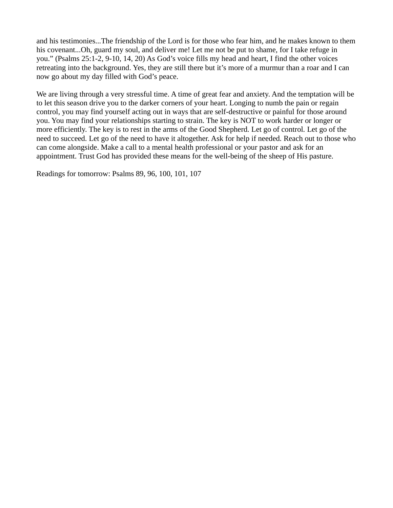and his testimonies...The friendship of the Lord is for those who fear him, and he makes known to them his covenant...Oh, guard my soul, and deliver me! Let me not be put to shame, for I take refuge in you." (Psalms 25:1-2, 9-10, 14, 20) As God's voice fills my head and heart, I find the other voices retreating into the background. Yes, they are still there but it's more of a murmur than a roar and I can now go about my day filled with God's peace.

We are living through a very stressful time. A time of great fear and anxiety. And the temptation will be to let this season drive you to the darker corners of your heart. Longing to numb the pain or regain control, you may find yourself acting out in ways that are self-destructive or painful for those around you. You may find your relationships starting to strain. The key is NOT to work harder or longer or more efficiently. The key is to rest in the arms of the Good Shepherd. Let go of control. Let go of the need to succeed. Let go of the need to have it altogether. Ask for help if needed. Reach out to those who can come alongside. Make a call to a mental health professional or your pastor and ask for an appointment. Trust God has provided these means for the well-being of the sheep of His pasture.

Readings for tomorrow: Psalms 89, 96, 100, 101, 107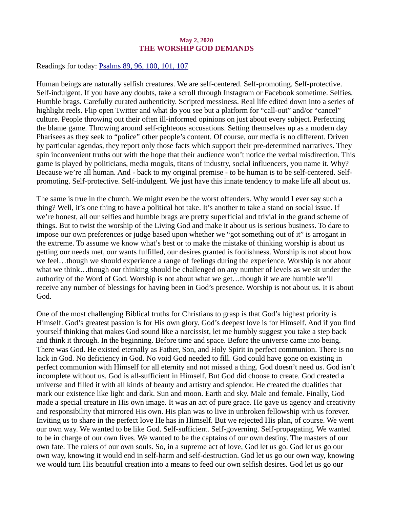#### May 2, 2020 THE WORSHIP GOD DEMANDS

<span id="page-4-0"></span>[Readings for today: Psalms 89, 96, 100, 101, 107](https://www.biblegateway.com/passage/?search=Psalms+89%2C+96%2C+100%2C+101%2C+107&version=ESV)

Human beings are naturally selfish creatures. We are self-centered. Self-promoting. Self-protective. Self-indulgent. If you have any doubts, take a scroll through Instagram or Facebook sometime. Selfies. Humble brags. Carefully curated authenticity. Scripted messiness. Real life edited down into a series of highlight reels. Flip open Twitter and what do you see but a platform for "call-out" and/or "cancel" culture. People throwing out their often ill-informed opinions on just about every subject. Perfecting the blame game. Throwing around self-righteous accusations. Setting themselves up as a modern day Pharisees as they seek to "police" other people's content. Of course, our media is no different. Driven by particular agendas, they report only those facts which support their pre-determined narratives. They spin inconvenient truths out with the hope that their audience won't notice the verbal misdirection. This game is played by politicians, media moguls, titans of industry, social influencers, you name it. Why? Because we're all human. And - back to my original premise - to be human is to be self-centered. Selfpromoting. Self-protective. Self-indulgent. We just have this innate tendency to make life all about us.

The same is true in the church. We might even be the worst offenders. Why would I ever say such a thing? Well, it's one thing to have a political hot take. It's another to take a stand on social issue. If we're honest, all our selfies and humble brags are pretty superficial and trivial in the grand scheme of things. But to twist the worship of the Living God and make it about us is serious business. To dare to impose our own preferences or judge based upon whether we "got something out of it" is arrogant in the extreme. To assume we know what's best or to make the mistake of thinking worship is about us getting our needs met, our wants fulfilled, our desires granted is foolishness. Worship is not about how we feel…though we should experience a range of feelings during the experience. Worship is not about what we think…though our thinking should be challenged on any number of levels as we sit under the authority of the Word of God. Worship is not about what we get…though if we are humble we'll receive any number of blessings for having been in God's presence. Worship is not about us. It is about God.

One of the most challenging Biblical truths for Christians to grasp is that God's highest priority is Himself. God's greatest passion is for His own glory. God's deepest love is for Himself. And if you find yourself thinking that makes God sound like a narcissist, let me humbly suggest you take a step back and think it through. In the beginning. Before time and space. Before the universe came into being. There was God. He existed eternally as Father, Son, and Holy Spirit in perfect communion. There is no lack in God. No deficiency in God. No void God needed to fill. God could have gone on existing in perfect communion with Himself for all eternity and not missed a thing. God doesn't need us. God isn't incomplete without us. God is all-sufficient in Himself. But God did choose to create. God created a universe and filled it with all kinds of beauty and artistry and splendor. He created the dualities that mark our existence like light and dark. Sun and moon. Earth and sky. Male and female. Finally, God made a special creature in His own image. It was an act of pure grace. He gave us agency and creativity and responsibility that mirrored His own. His plan was to live in unbroken fellowship with us forever. Inviting us to share in the perfect love He has in Himself. But we rejected His plan, of course. We went our own way. We wanted to be like God. Self-sufficient. Self-governing. Self-propagating. We wanted to be in charge of our own lives. We wanted to be the captains of our own destiny. The masters of our own fate. The rulers of our own souls. So, in a supreme act of love, God let us go. God let us go our own way, knowing it would end in self-harm and self-destruction. God let us go our own way, knowing we would turn His beautiful creation into a means to feed our own selfish desires. God let us go our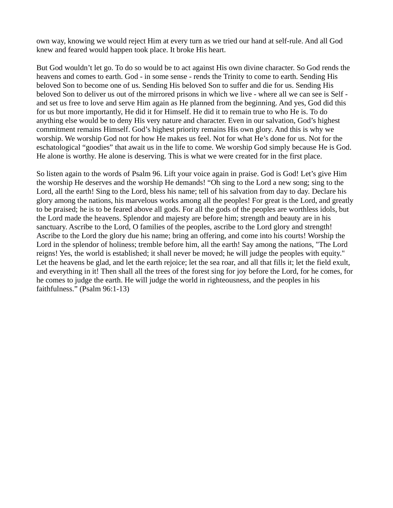own way, knowing we would reject Him at every turn as we tried our hand at self-rule. And all God knew and feared would happen took place. It broke His heart.

But God wouldn't let go. To do so would be to act against His own divine character. So God rends the heavens and comes to earth. God - in some sense - rends the Trinity to come to earth. Sending His beloved Son to become one of us. Sending His beloved Son to suffer and die for us. Sending His beloved Son to deliver us out of the mirrored prisons in which we live - where all we can see is Self and set us free to love and serve Him again as He planned from the beginning. And yes, God did this for us but more importantly, He did it for Himself. He did it to remain true to who He is. To do anything else would be to deny His very nature and character. Even in our salvation, God's highest commitment remains Himself. God's highest priority remains His own glory. And this is why we worship. We worship God not for how He makes us feel. Not for what He's done for us. Not for the eschatological "goodies" that await us in the life to come. We worship God simply because He is God. He alone is worthy. He alone is deserving. This is what we were created for in the first place.

So listen again to the words of Psalm 96. Lift your voice again in praise. God is God! Let's give Him the worship He deserves and the worship He demands! "Oh sing to the Lord a new song; sing to the Lord, all the earth! Sing to the Lord, bless his name; tell of his salvation from day to day. Declare his glory among the nations, his marvelous works among all the peoples! For great is the Lord, and greatly to be praised; he is to be feared above all gods. For all the gods of the peoples are worthless idols, but the Lord made the heavens. Splendor and majesty are before him; strength and beauty are in his sanctuary. Ascribe to the Lord, O families of the peoples, ascribe to the Lord glory and strength! Ascribe to the Lord the glory due his name; bring an offering, and come into his courts! Worship the Lord in the splendor of holiness; tremble before him, all the earth! Say among the nations, "The Lord reigns! Yes, the world is established; it shall never be moved; he will judge the peoples with equity." Let the heavens be glad, and let the earth rejoice; let the sea roar, and all that fills it; let the field exult, and everything in it! Then shall all the trees of the forest sing for joy before the Lord, for he comes, for he comes to judge the earth. He will judge the world in righteousness, and the peoples in his faithfulness." (Psalm 96:1-13)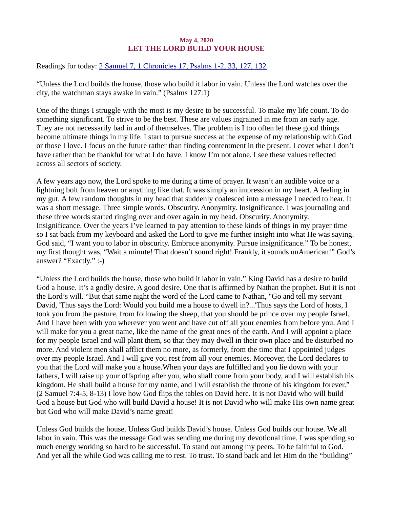# May 4, 2020 LET THE LORD BUILD YOUR HOUSE

<span id="page-6-0"></span>[Readings for today: 2 Samuel 7, 1 Chronicles 17, Psalms 1-2, 33, 127, 132](https://www.biblegateway.com/passage/?search=2+Samuel+7%2C+1+Chronicles+17%2C+Psalms+1-2%2C+33%2C+127%2C+132&version=ESV)

"Unless the Lord builds the house, those who build it labor in vain. Unless the Lord watches over the city, the watchman stays awake in vain." (Psalms 127:1)

One of the things I struggle with the most is my desire to be successful. To make my life count. To do something significant. To strive to be the best. These are values ingrained in me from an early age. They are not necessarily bad in and of themselves. The problem is I too often let these good things become ultimate things in my life. I start to pursue success at the expense of my relationship with God or those I love. I focus on the future rather than finding contentment in the present. I covet what I don't have rather than be thankful for what I do have. I know I'm not alone. I see these values reflected across all sectors of society.

A few years ago now, the Lord spoke to me during a time of prayer. It wasn't an audible voice or a lightning bolt from heaven or anything like that. It was simply an impression in my heart. A feeling in my gut. A few random thoughts in my head that suddenly coalesced into a message I needed to hear. It was a short message. Three simple words. Obscurity. Anonymity. Insignificance. I was journaling and these three words started ringing over and over again in my head. Obscurity. Anonymity. Insignificance. Over the years I've learned to pay attention to these kinds of things in my prayer time so I sat back from my keyboard and asked the Lord to give me further insight into what He was saying. God said, "I want you to labor in obscurity. Embrace anonymity. Pursue insignificance." To be honest, my first thought was, "Wait a minute! That doesn't sound right! Frankly, it sounds unAmerican!" God's answer? "Exactly." :-)

"Unless the Lord builds the house, those who build it labor in vain." King David has a desire to build God a house. It's a godly desire. A good desire. One that is affirmed by Nathan the prophet. But it is not the Lord's will. "But that same night the word of the Lord came to Nathan, "Go and tell my servant David, 'Thus says the Lord: Would you build me a house to dwell in?...'Thus says the Lord of hosts, I took you from the pasture, from following the sheep, that you should be prince over my people Israel. And I have been with you wherever you went and have cut off all your enemies from before you. And I will make for you a great name, like the name of the great ones of the earth. And I will appoint a place for my people Israel and will plant them, so that they may dwell in their own place and be disturbed no more. And violent men shall afflict them no more, as formerly, from the time that I appointed judges over my people Israel. And I will give you rest from all your enemies. Moreover, the Lord declares to you that the Lord will make you a house.When your days are fulfilled and you lie down with your fathers, I will raise up your offspring after you, who shall come from your body, and I will establish his kingdom. He shall build a house for my name, and I will establish the throne of his kingdom forever." (2 Samuel 7:4-5, 8-13) I love how God flips the tables on David here. It is not David who will build God a house but God who will build David a house! It is not David who will make His own name great but God who will make David's name great!

Unless God builds the house. Unless God builds David's house. Unless God builds our house. We all labor in vain. This was the message God was sending me during my devotional time. I was spending so much energy working so hard to be successful. To stand out among my peers. To be faithful to God. And yet all the while God was calling me to rest. To trust. To stand back and let Him do the "building"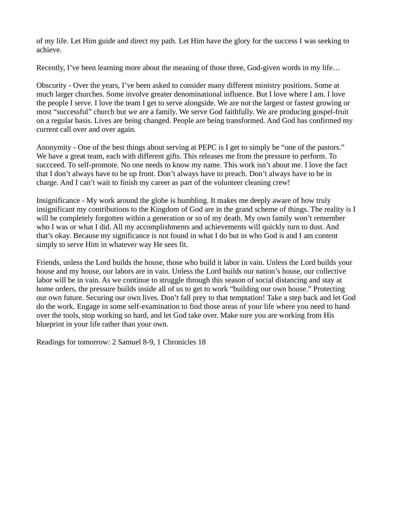of my life. Let Him guide and direct my path. Let Him have the glory for the success I was seeking to achieve.

Recently, I've been learning more about the meaning of those three, God-given words in my life…

Obscurity - Over the years, I've been asked to consider many different ministry positions. Some at much larger churches. Some involve greater denominational influence. But I love where I am. I love the people I serve. I love the team I get to serve alongside. We are not the largest or fastest growing or most "successful" church but we are a family. We serve God faithfully. We are producing gospel-fruit on a regular basis. Lives are being changed. People are being transformed. And God has confirmed my current call over and over again.

Anonymity - One of the best things about serving at PEPC is I get to simply be "one of the pastors." We have a great team, each with different gifts. This releases me from the pressure to perform. To succceed. To self-promote. No one needs to know my name. This work isn't about me. I love the fact that I don't always have to be up front. Don't always have to preach. Don't always have to be in charge. And I can't wait to finish my career as part of the volunteer cleaning crew!

Insignificance - My work around the globe is humbling. It makes me deeply aware of how truly insignificant my contributions to the Kingdom of God are in the grand scheme of things. The reality is I will be completely forgotten within a generation or so of my death. My own family won't remember who I was or what I did. All my accomplishments and achievements will quickly turn to dust. And that's okay. Because my significance is not found in what I do but in who God is and I am content simply to serve Him in whatever way He sees fit.

Friends, unless the Lord builds the house, those who build it labor in vain. Unless the Lord builds your house and my house, our labors are in vain. Unless the Lord builds our nation's house, our collective labor will be in vain. As we continue to struggle through this season of social distancing and stay at home orders, the pressure builds inside all of us to get to work "building our own house." Protecting our own future. Securing our own lives. Don't fall prey to that temptation! Take a step back and let God do the work. Engage in some self-examination to find those areas of your life where you need to hand over the tools, stop working so hard, and let God take over. Make sure you are working from His blueprint in your life rather than your own.

Readings for tomorrow: 2 Samuel 8-9, 1 Chronicles 18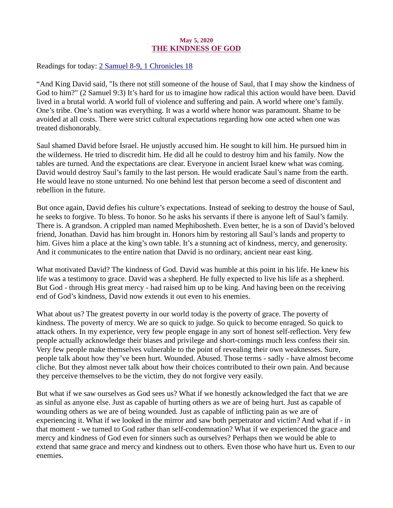# May 5, 2020 THE KINDNESS OF GOD

<span id="page-8-0"></span>[Readings for today: 2 Samuel 8-9, 1 Chronicles 18](https://www.biblegateway.com/passage/?search=2+Samuel+8-9%2C+1+Chronicles+18&version=ESV)

"And King David said, "Is there not still someone of the house of Saul, that I may show the kindness of God to him?" (2 Samuel 9:3) It's hard for us to imagine how radical this action would have been. David lived in a brutal world. A world full of violence and suffering and pain. A world where one's family. One's tribe. One's nation was everything. It was a world where honor was paramount. Shame to be avoided at all costs. There were strict cultural expectations regarding how one acted when one was treated dishonorably.

Saul shamed David before Israel. He unjustly accused him. He sought to kill him. He pursued him in the wilderness. He tried to discredit him. He did all he could to destroy him and his family. Now the tables are turned. And the expectations are clear. Everyone in ancient Israel knew what was coming. David would destroy Saul's family to the last person. He would eradicate Saul's name from the earth. He would leave no stone unturned. No one behind lest that person become a seed of discontent and rebellion in the future.

But once again, David defies his culture's expectations. Instead of seeking to destroy the house of Saul, he seeks to forgive. To bless. To honor. So he asks his servants if there is anyone left of Saul's family. There is. A grandson. A crippled man named Mephibosheth. Even better, he is a son of David's beloved friend, Jonathan. David has him brought in. Honors him by restoring all Saul's lands and property to him. Gives him a place at the king's own table. It's a stunning act of kindness, mercy, and generosity. And it communicates to the entire nation that David is no ordinary, ancient near east king.

What motivated David? The kindness of God. David was humble at this point in his life. He knew his life was a testimony to grace. David was a shepherd. He fully expected to live his life as a shepherd. But God - through His great mercy - had raised him up to be king. And having been on the receiving end of God's kindness, David now extends it out even to his enemies.

What about us? The greatest poverty in our world today is the poverty of grace. The poverty of kindness. The poverty of mercy. We are so quick to judge. So quick to become enraged. So quick to attack others. In my experience, very few people engage in any sort of honest self-reflection. Very few people actually acknowledge their biases and privilege and short-comings much less confess their sin. Very few people make themselves vulnerable to the point of revealing their own weaknesses. Sure, people talk about how they've been hurt. Wounded. Abused. Those terms - sadly - have almost become cliche. But they almost never talk about how their choices contributed to their own pain. And because they perceive themselves to be the victim, they do not forgive very easily.

But what if we saw ourselves as God sees us? What if we honestly acknowledged the fact that we are as sinful as anyone else. Just as capable of hurting others as we are of being hurt. Just as capable of wounding others as we are of being wounded. Just as capable of inflicting pain as we are of experiencing it. What if we looked in the mirror and saw both perpetrator and victim? And what if - in that moment - we turned to God rather than self-condemnation? What if we experienced the grace and mercy and kindness of God even for sinners such as ourselves? Perhaps then we would be able to extend that same grace and mercy and kindness out to others. Even those who have hurt us. Even to our enemies.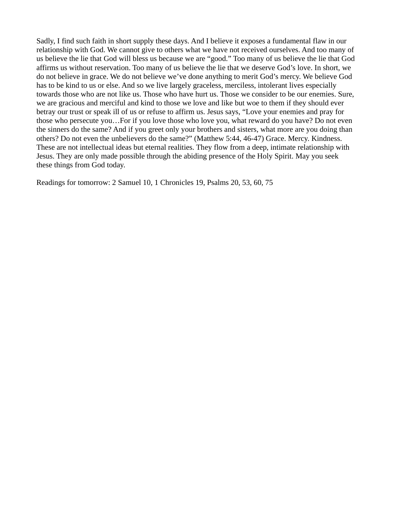Sadly, I find such faith in short supply these days. And I believe it exposes a fundamental flaw in our relationship with God. We cannot give to others what we have not received ourselves. And too many of us believe the lie that God will bless us because we are "good." Too many of us believe the lie that God affirms us without reservation. Too many of us believe the lie that we deserve God's love. In short, we do not believe in grace. We do not believe we've done anything to merit God's mercy. We believe God has to be kind to us or else. And so we live largely graceless, merciless, intolerant lives especially towards those who are not like us. Those who have hurt us. Those we consider to be our enemies. Sure, we are gracious and merciful and kind to those we love and like but woe to them if they should ever betray our trust or speak ill of us or refuse to affirm us. Jesus says, "Love your enemies and pray for those who persecute you…For if you love those who love you, what reward do you have? Do not even the sinners do the same? And if you greet only your brothers and sisters, what more are you doing than others? Do not even the unbelievers do the same?" (Matthew 5:44, 46-47) Grace. Mercy. Kindness. These are not intellectual ideas but eternal realities. They flow from a deep, intimate relationship with Jesus. They are only made possible through the abiding presence of the Holy Spirit. May you seek these things from God today.

Readings for tomorrow: 2 Samuel 10, 1 Chronicles 19, Psalms 20, 53, 60, 75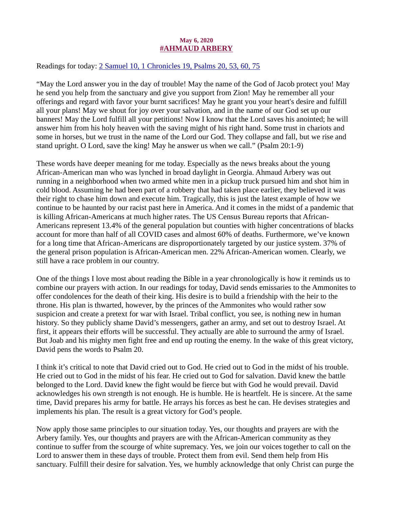# May 6, 2020 #AHMAUD ARBERY

<span id="page-10-0"></span>[Readings for today: 2 Samuel 10, 1 Chronicles 19, Psalms 20, 53, 60, 75](https://classic.biblegateway.com/passage/?search=2+Samuel+10%2C+1+Chronicles+19%2C+Psalms+20%2C+53%2C+60%2C+75&version=ESV)

"May the Lord answer you in the day of trouble! May the name of the God of Jacob protect you! May he send you help from the sanctuary and give you support from Zion! May he remember all your offerings and regard with favor your burnt sacrifices! May he grant you your heart's desire and fulfill all your plans! May we shout for joy over your salvation, and in the name of our God set up our banners! May the Lord fulfill all your petitions! Now I know that the Lord saves his anointed; he will answer him from his holy heaven with the saving might of his right hand. Some trust in chariots and some in horses, but we trust in the name of the Lord our God. They collapse and fall, but we rise and stand upright. O Lord, save the king! May he answer us when we call." (Psalm 20:1-9)

These words have deeper meaning for me today. Especially as the news breaks about the young African-American man who was lynched in broad daylight in Georgia. Ahmaud Arbery was out running in a neighborhood when two armed white men in a pickup truck pursued him and shot him in cold blood. Assuming he had been part of a robbery that had taken place earlier, they believed it was their right to chase him down and execute him. Tragically, this is just the latest example of how we continue to be haunted by our racist past here in America. And it comes in the midst of a pandemic that is killing African-Americans at much higher rates. The US Census Bureau reports that African-Americans represent 13.4% of the general population but counties with higher concentrations of blacks account for more than half of all COVID cases and almost 60% of deaths. Furthermore, we've known for a long time that African-Americans are disproportionately targeted by our justice system. 37% of the general prison population is African-American men. 22% African-American women. Clearly, we still have a race problem in our country.

One of the things I love most about reading the Bible in a year chronologically is how it reminds us to combine our prayers with action. In our readings for today, David sends emissaries to the Ammonites to offer condolences for the death of their king. His desire is to build a friendship with the heir to the throne. His plan is thwarted, however, by the princes of the Ammonites who would rather sow suspicion and create a pretext for war with Israel. Tribal conflict, you see, is nothing new in human history. So they publicly shame David's messengers, gather an army, and set out to destroy Israel. At first, it appears their efforts will be successful. They actually are able to surround the army of Israel. But Joab and his mighty men fight free and end up routing the enemy. In the wake of this great victory, David pens the words to Psalm 20.

I think it's critical to note that David cried out to God. He cried out to God in the midst of his trouble. He cried out to God in the midst of his fear. He cried out to God for salvation. David knew the battle belonged to the Lord. David knew the fight would be fierce but with God he would prevail. David acknowledges his own strength is not enough. He is humble. He is heartfelt. He is sincere. At the same time, David prepares his army for battle. He arrays his forces as best he can. He devises strategies and implements his plan. The result is a great victory for God's people.

Now apply those same principles to our situation today. Yes, our thoughts and prayers are with the Arbery family. Yes, our thoughts and prayers are with the African-American community as they continue to suffer from the scourge of white supremacy. Yes, we join our voices together to call on the Lord to answer them in these days of trouble. Protect them from evil. Send them help from His sanctuary. Fulfill their desire for salvation. Yes, we humbly acknowledge that only Christ can purge the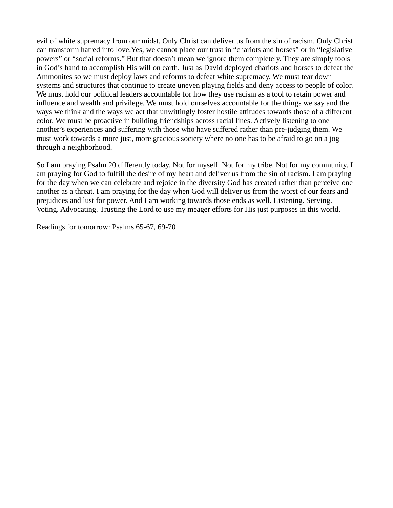evil of white supremacy from our midst. Only Christ can deliver us from the sin of racism. Only Christ can transform hatred into love.Yes, we cannot place our trust in "chariots and horses" or in "legislative powers" or "social reforms." But that doesn't mean we ignore them completely. They are simply tools in God's hand to accomplish His will on earth. Just as David deployed chariots and horses to defeat the Ammonites so we must deploy laws and reforms to defeat white supremacy. We must tear down systems and structures that continue to create uneven playing fields and deny access to people of color. We must hold our political leaders accountable for how they use racism as a tool to retain power and influence and wealth and privilege. We must hold ourselves accountable for the things we say and the ways we think and the ways we act that unwittingly foster hostile attitudes towards those of a different color. We must be proactive in building friendships across racial lines. Actively listening to one another's experiences and suffering with those who have suffered rather than pre-judging them. We must work towards a more just, more gracious society where no one has to be afraid to go on a jog through a neighborhood.

So I am praying Psalm 20 differently today. Not for myself. Not for my tribe. Not for my community. I am praying for God to fulfill the desire of my heart and deliver us from the sin of racism. I am praying for the day when we can celebrate and rejoice in the diversity God has created rather than perceive one another as a threat. I am praying for the day when God will deliver us from the worst of our fears and prejudices and lust for power. And I am working towards those ends as well. Listening. Serving. Voting. Advocating. Trusting the Lord to use my meager efforts for His just purposes in this world.

Readings for tomorrow: Psalms 65-67, 69-70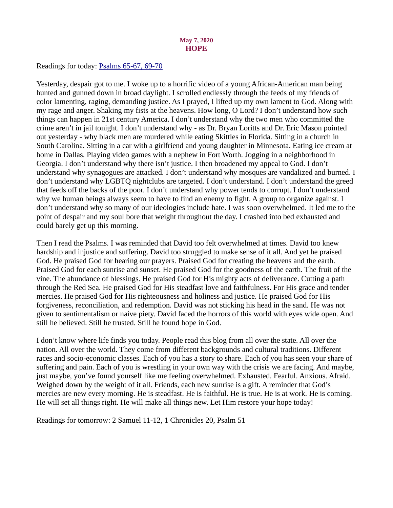## May 7, 2020 **HOPE**

<span id="page-12-0"></span>[Readings for today: Psalms 65-67, 69-70](https://www.biblegateway.com/passage/?search=Psalms+65-67%2C+69-70&version=ESV)

Yesterday, despair got to me. I woke up to a horrific video of a young African-American man being hunted and gunned down in broad daylight. I scrolled endlessly through the feeds of my friends of color lamenting, raging, demanding justice. As I prayed, I lifted up my own lament to God. Along with my rage and anger. Shaking my fists at the heavens. How long, O Lord? I don't understand how such things can happen in 21st century America. I don't understand why the two men who committed the crime aren't in jail tonight. I don't understand why - as Dr. Bryan Loritts and Dr. Eric Mason pointed out yesterday - why black men are murdered while eating Skittles in Florida. Sitting in a church in South Carolina. Sitting in a car with a girlfriend and young daughter in Minnesota. Eating ice cream at home in Dallas. Playing video games with a nephew in Fort Worth. Jogging in a neighborhood in Georgia. I don't understand why there isn't justice. I then broadened my appeal to God. I don't understand why synagogues are attacked. I don't understand why mosques are vandalized and burned. I don't understand why LGBTQ nightclubs are targeted. I don't understand. I don't understand the greed that feeds off the backs of the poor. I don't understand why power tends to corrupt. I don't understand why we human beings always seem to have to find an enemy to fight. A group to organize against. I don't understand why so many of our ideologies include hate. I was soon overwhelmed. It led me to the point of despair and my soul bore that weight throughout the day. I crashed into bed exhausted and could barely get up this morning.

Then I read the Psalms. I was reminded that David too felt overwhelmed at times. David too knew hardship and injustice and suffering. David too struggled to make sense of it all. And yet he praised God. He praised God for hearing our prayers. Praised God for creating the heavens and the earth. Praised God for each sunrise and sunset. He praised God for the goodness of the earth. The fruit of the vine. The abundance of blessings. He praised God for His mighty acts of deliverance. Cutting a path through the Red Sea. He praised God for His steadfast love and faithfulness. For His grace and tender mercies. He praised God for His righteousness and holiness and justice. He praised God for His forgiveness, reconciliation, and redemption. David was not sticking his head in the sand. He was not given to sentimentalism or naive piety. David faced the horrors of this world with eyes wide open. And still he believed. Still he trusted. Still he found hope in God.

I don't know where life finds you today. People read this blog from all over the state. All over the nation. All over the world. They come from different backgrounds and cultural traditions. Different races and socio-economic classes. Each of you has a story to share. Each of you has seen your share of suffering and pain. Each of you is wrestling in your own way with the crisis we are facing. And maybe, just maybe, you've found yourself like me feeling overwhelmed. Exhausted. Fearful. Anxious. Afraid. Weighed down by the weight of it all. Friends, each new sunrise is a gift. A reminder that God's mercies are new every morning. He is steadfast. He is faithful. He is true. He is at work. He is coming. He will set all things right. He will make all things new. Let Him restore your hope today!

Readings for tomorrow: 2 Samuel 11-12, 1 Chronicles 20, Psalm 51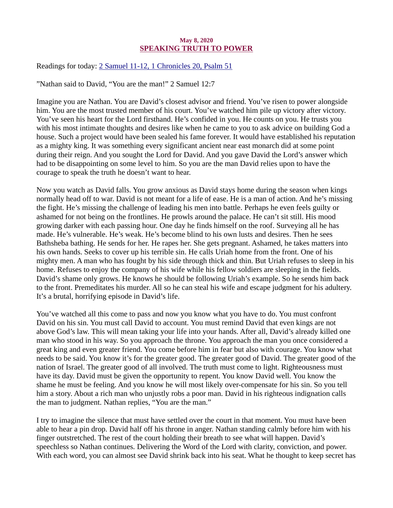# May 8, 2020 SPEAKING TRUTH TO POWER

<span id="page-13-0"></span>[Readings for today: 2 Samuel 11-12, 1 Chronicles 20, Psalm 51](https://www.biblegateway.com/passage/?search=2+Samuel+11-12%2C+1+Chronicles+20%2C+Psalm+51&version=ESV)

"Nathan said to David, "You are the man!" 2 Samuel 12:7

Imagine you are Nathan. You are David's closest advisor and friend. You've risen to power alongside him. You are the most trusted member of his court. You've watched him pile up victory after victory. You've seen his heart for the Lord firsthand. He's confided in you. He counts on you. He trusts you with his most intimate thoughts and desires like when he came to you to ask advice on building God a house. Such a project would have been sealed his fame forever. It would have established his reputation as a mighty king. It was something every significant ancient near east monarch did at some point during their reign. And you sought the Lord for David. And you gave David the Lord's answer which had to be disappointing on some level to him. So you are the man David relies upon to have the courage to speak the truth he doesn't want to hear.

Now you watch as David falls. You grow anxious as David stays home during the season when kings normally head off to war. David is not meant for a life of ease. He is a man of action. And he's missing the fight. He's missing the challenge of leading his men into battle. Perhaps he even feels guilty or ashamed for not being on the frontlines. He prowls around the palace. He can't sit still. His mood growing darker with each passing hour. One day he finds himself on the roof. Surveying all he has made. He's vulnerable. He's weak. He's become blind to his own lusts and desires. Then he sees Bathsheba bathing. He sends for her. He rapes her. She gets pregnant. Ashamed, he takes matters into his own hands. Seeks to cover up his terrible sin. He calls Uriah home from the front. One of his mighty men. A man who has fought by his side through thick and thin. But Uriah refuses to sleep in his home. Refuses to enjoy the company of his wife while his fellow soldiers are sleeping in the fields. David's shame only grows. He knows he should be following Uriah's example. So he sends him back to the front. Premeditates his murder. All so he can steal his wife and escape judgment for his adultery. It's a brutal, horrifying episode in David's life.

You've watched all this come to pass and now you know what you have to do. You must confront David on his sin. You must call David to account. You must remind David that even kings are not above God's law. This will mean taking your life into your hands. After all, David's already killed one man who stood in his way. So you approach the throne. You approach the man you once considered a great king and even greater friend. You come before him in fear but also with courage. You know what needs to be said. You know it's for the greater good. The greater good of David. The greater good of the nation of Israel. The greater good of all involved. The truth must come to light. Righteousness must have its day. David must be given the opportunity to repent. You know David well. You know the shame he must be feeling. And you know he will most likely over-compensate for his sin. So you tell him a story. About a rich man who unjustly robs a poor man. David in his righteous indignation calls the man to judgment. Nathan replies, "You are the man."

I try to imagine the silence that must have settled over the court in that moment. You must have been able to hear a pin drop. David half off his throne in anger. Nathan standing calmly before him with his finger outstretched. The rest of the court holding their breath to see what will happen. David's speechless so Nathan continues. Delivering the Word of the Lord with clarity, conviction, and power. With each word, you can almost see David shrink back into his seat. What he thought to keep secret has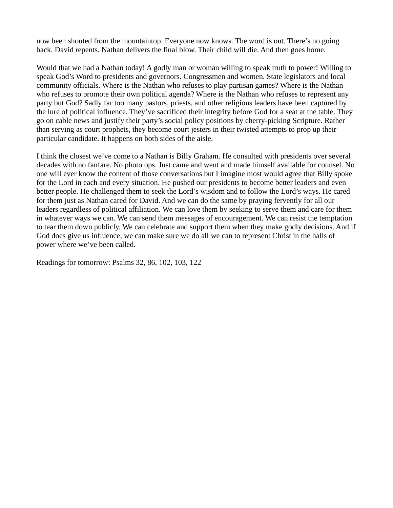now been shouted from the mountaintop. Everyone now knows. The word is out. There's no going back. David repents. Nathan delivers the final blow. Their child will die. And then goes home.

Would that we had a Nathan today! A godly man or woman willing to speak truth to power! Willing to speak God's Word to presidents and governors. Congressmen and women. State legislators and local community officials. Where is the Nathan who refuses to play partisan games? Where is the Nathan who refuses to promote their own political agenda? Where is the Nathan who refuses to represent any party but God? Sadly far too many pastors, priests, and other religious leaders have been captured by the lure of political influence. They've sacrificed their integrity before God for a seat at the table. They go on cable news and justify their party's social policy positions by cherry-picking Scripture. Rather than serving as court prophets, they become court jesters in their twisted attempts to prop up their particular candidate. It happens on both sides of the aisle.

I think the closest we've come to a Nathan is Billy Graham. He consulted with presidents over several decades with no fanfare. No photo ops. Just came and went and made himself available for counsel. No one will ever know the content of those conversations but I imagine most would agree that Billy spoke for the Lord in each and every situation. He pushed our presidents to become better leaders and even better people. He challenged them to seek the Lord's wisdom and to follow the Lord's ways. He cared for them just as Nathan cared for David. And we can do the same by praying fervently for all our leaders regardless of political affiliation. We can love them by seeking to serve them and care for them in whatever ways we can. We can send them messages of encouragement. We can resist the temptation to tear them down publicly. We can celebrate and support them when they make godly decisions. And if God does give us influence, we can make sure we do all we can to represent Christ in the halls of power where we've been called.

Readings for tomorrow: Psalms 32, 86, 102, 103, 122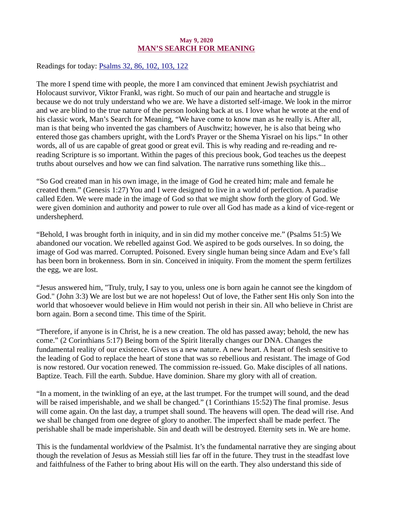## May 9, 2020 MAN'S SEARCH FOR MEANING

<span id="page-15-0"></span>[Readings for today: Psalms 32, 86, 102, 103, 122](https://www.biblegateway.com/passage/?search=Psalms+32%2C+86%2C+102%2C+103%2C+122&version=NIV)

The more I spend time with people, the more I am convinced that eminent Jewish psychiatrist and Holocaust survivor, Viktor Frankl, was right. So much of our pain and heartache and struggle is because we do not truly understand who we are. We have a distorted self-image. We look in the mirror and we are blind to the true nature of the person looking back at us. I love what he wrote at the end of his classic work, Man's Search for Meaning, "We have come to know man as he really is. After all, man is that being who invented the gas chambers of Auschwitz; however, he is also that being who entered those gas chambers upright, with the Lord's Prayer or the Shema Yisrael on his lips." In other words, all of us are capable of great good or great evil. This is why reading and re-reading and rereading Scripture is so important. Within the pages of this precious book, God teaches us the deepest truths about ourselves and how we can find salvation. The narrative runs something like this...

"So God created man in his own image, in the image of God he created him; male and female he created them." (Genesis 1:27) You and I were designed to live in a world of perfection. A paradise called Eden. We were made in the image of God so that we might show forth the glory of God. We were given dominion and authority and power to rule over all God has made as a kind of vice-regent or undershepherd.

"Behold, I was brought forth in iniquity, and in sin did my mother conceive me." (Psalms 51:5) We abandoned our vocation. We rebelled against God. We aspired to be gods ourselves. In so doing, the image of God was marred. Corrupted. Poisoned. Every single human being since Adam and Eve's fall has been born in brokenness. Born in sin. Conceived in iniquity. From the moment the sperm fertilizes the egg, we are lost.

"Jesus answered him, "Truly, truly, I say to you, unless one is born again he cannot see the kingdom of God." (John 3:3) We are lost but we are not hopeless! Out of love, the Father sent His only Son into the world that whosoever would believe in Him would not perish in their sin. All who believe in Christ are born again. Born a second time. This time of the Spirit.

"Therefore, if anyone is in Christ, he is a new creation. The old has passed away; behold, the new has come." (2 Corinthians 5:17) Being born of the Spirit literally changes our DNA. Changes the fundamental reality of our existence. Gives us a new nature. A new heart. A heart of flesh sensitive to the leading of God to replace the heart of stone that was so rebellious and resistant. The image of God is now restored. Our vocation renewed. The commission re-issued. Go. Make disciples of all nations. Baptize. Teach. Fill the earth. Subdue. Have dominion. Share my glory with all of creation.

"In a moment, in the twinkling of an eye, at the last trumpet. For the trumpet will sound, and the dead will be raised imperishable, and we shall be changed." (1 Corinthians 15:52) The final promise. Jesus will come again. On the last day, a trumpet shall sound. The heavens will open. The dead will rise. And we shall be changed from one degree of glory to another. The imperfect shall be made perfect. The perishable shall be made imperishable. Sin and death will be destroyed. Eternity sets in. We are home.

This is the fundamental worldview of the Psalmist. It's the fundamental narrative they are singing about though the revelation of Jesus as Messiah still lies far off in the future. They trust in the steadfast love and faithfulness of the Father to bring about His will on the earth. They also understand this side of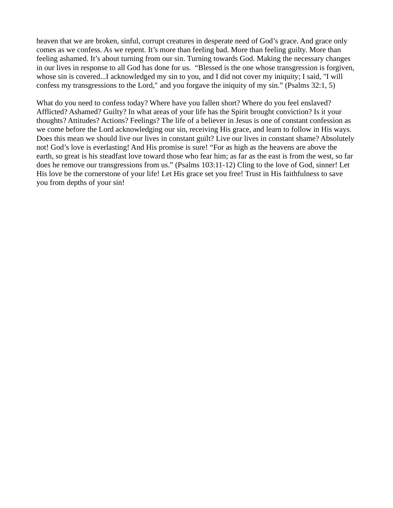heaven that we are broken, sinful, corrupt creatures in desperate need of God's grace. And grace only comes as we confess. As we repent. It's more than feeling bad. More than feeling guilty. More than feeling ashamed. It's about turning from our sin. Turning towards God. Making the necessary changes in our lives in response to all God has done for us. "Blessed is the one whose transgression is forgiven, whose sin is covered...I acknowledged my sin to you, and I did not cover my iniquity; I said, "I will confess my transgressions to the Lord," and you forgave the iniquity of my sin." (Psalms 32:1, 5)

What do you need to confess today? Where have you fallen short? Where do you feel enslaved? Afflicted? Ashamed? Guilty? In what areas of your life has the Spirit brought conviction? Is it your thoughts? Attitudes? Actions? Feelings? The life of a believer in Jesus is one of constant confession as we come before the Lord acknowledging our sin, receiving His grace, and learn to follow in His ways. Does this mean we should live our lives in constant guilt? Live our lives in constant shame? Absolutely not! God's love is everlasting! And His promise is sure! "For as high as the heavens are above the earth, so great is his steadfast love toward those who fear him; as far as the east is from the west, so far does he remove our transgressions from us." (Psalms 103:11-12) Cling to the love of God, sinner! Let His love be the cornerstone of your life! Let His grace set you free! Trust in His faithfulness to save you from depths of your sin!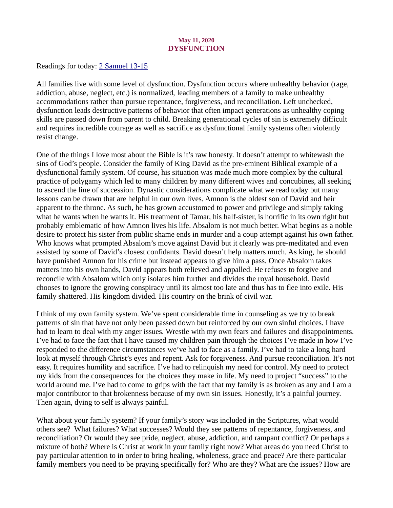# May 11, 2020 **DYSFUNCTION**

<span id="page-17-0"></span>[Readings for today: 2 Samuel 13-15](https://www.biblegateway.com/passage/?search=2+Samuel+13-15&version=ESV)

All families live with some level of dysfunction. Dysfunction occurs where unhealthy behavior (rage, addiction, abuse, neglect, etc.) is normalized, leading members of a family to make unhealthy accommodations rather than pursue repentance, forgiveness, and reconciliation. Left unchecked, dysfunction leads destructive patterns of behavior that often impact generations as unhealthy coping skills are passed down from parent to child. Breaking generational cycles of sin is extremely difficult and requires incredible courage as well as sacrifice as dysfunctional family systems often violently resist change.

One of the things I love most about the Bible is it's raw honesty. It doesn't attempt to whitewash the sins of God's people. Consider the family of King David as the pre-eminent Biblical example of a dysfunctional family system. Of course, his situation was made much more complex by the cultural practice of polygamy which led to many children by many different wives and concubines, all seeking to ascend the line of succession. Dynastic considerations complicate what we read today but many lessons can be drawn that are helpful in our own lives. Amnon is the oldest son of David and heir apparent to the throne. As such, he has grown accustomed to power and privilege and simply taking what he wants when he wants it. His treatment of Tamar, his half-sister, is horrific in its own right but probably emblematic of how Amnon lives his life. Absalom is not much better. What begins as a noble desire to protect his sister from public shame ends in murder and a coup attempt against his own father. Who knows what prompted Absalom's move against David but it clearly was pre-meditated and even assisted by some of David's closest confidants. David doesn't help matters much. As king, he should have punished Amnon for his crime but instead appears to give him a pass. Once Absalom takes matters into his own hands, David appears both relieved and appalled. He refuses to forgive and reconcile with Absalom which only isolates him further and divides the royal household. David chooses to ignore the growing conspiracy until its almost too late and thus has to flee into exile. His family shattered. His kingdom divided. His country on the brink of civil war.

I think of my own family system. We've spent considerable time in counseling as we try to break patterns of sin that have not only been passed down but reinforced by our own sinful choices. I have had to learn to deal with my anger issues. Wrestle with my own fears and failures and disappointments. I've had to face the fact that I have caused my children pain through the choices I've made in how I've responded to the difference circumstances we've had to face as a family. I've had to take a long hard look at myself through Christ's eyes and repent. Ask for forgiveness. And pursue reconciliation. It's not easy. It requires humility and sacrifice. I've had to relinquish my need for control. My need to protect my kids from the consequences for the choices they make in life. My need to project "success" to the world around me. I've had to come to grips with the fact that my family is as broken as any and I am a major contributor to that brokenness because of my own sin issues. Honestly, it's a painful journey. Then again, dying to self is always painful.

What about your family system? If your family's story was included in the Scriptures, what would others see? What failures? What successes? Would they see patterns of repentance, forgiveness, and reconciliation? Or would they see pride, neglect, abuse, addiction, and rampant conflict? Or perhaps a mixture of both? Where is Christ at work in your family right now? What areas do you need Christ to pay particular attention to in order to bring healing, wholeness, grace and peace? Are there particular family members you need to be praying specifically for? Who are they? What are the issues? How are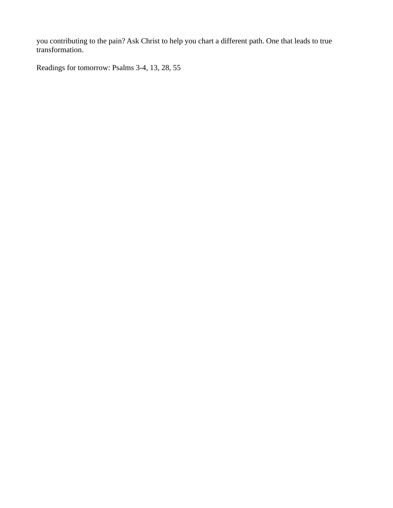you contributing to the pain? Ask Christ to help you chart a different path. One that leads to true transformation.

Readings for tomorrow: Psalms 3-4, 13, 28, 55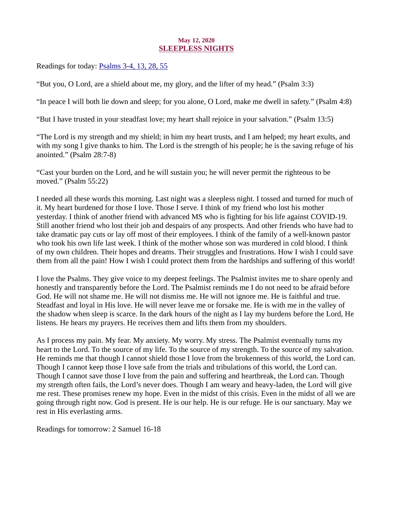# May 12, 2020 SLEEPLESS NIGHTS

<span id="page-19-0"></span>[Readings for today: Psalms 3-4, 13, 28, 55](https://www.biblegateway.com/passage/?search=Psalms+3-4%2C+13%2C+28%2C+55&version=ESV)

"But you, O Lord, are a shield about me, my glory, and the lifter of my head." (Psalm 3:3)

"In peace I will both lie down and sleep; for you alone, O Lord, make me dwell in safety." (Psalm 4:8)

"But I have trusted in your steadfast love; my heart shall rejoice in your salvation." (Psalm 13:5)

"The Lord is my strength and my shield; in him my heart trusts, and I am helped; my heart exults, and with my song I give thanks to him. The Lord is the strength of his people; he is the saving refuge of his anointed." (Psalm 28:7-8)

"Cast your burden on the Lord, and he will sustain you; he will never permit the righteous to be moved." (Psalm 55:22)

I needed all these words this morning. Last night was a sleepless night. I tossed and turned for much of it. My heart burdened for those I love. Those I serve. I think of my friend who lost his mother yesterday. I think of another friend with advanced MS who is fighting for his life against COVID-19. Still another friend who lost their job and despairs of any prospects. And other friends who have had to take dramatic pay cuts or lay off most of their employees. I think of the family of a well-known pastor who took his own life last week. I think of the mother whose son was murdered in cold blood. I think of my own children. Their hopes and dreams. Their struggles and frustrations. How I wish I could save them from all the pain! How I wish I could protect them from the hardships and suffering of this world!

I love the Psalms. They give voice to my deepest feelings. The Psalmist invites me to share openly and honestly and transparently before the Lord. The Psalmist reminds me I do not need to be afraid before God. He will not shame me. He will not dismiss me. He will not ignore me. He is faithful and true. Steadfast and loyal in His love. He will never leave me or forsake me. He is with me in the valley of the shadow when sleep is scarce. In the dark hours of the night as I lay my burdens before the Lord, He listens. He hears my prayers. He receives them and lifts them from my shoulders.

As I process my pain. My fear. My anxiety. My worry. My stress. The Psalmist eventually turns my heart to the Lord. To the source of my life. To the source of my strength. To the source of my salvation. He reminds me that though I cannot shield those I love from the brokenness of this world, the Lord can. Though I cannot keep those I love safe from the trials and tribulations of this world, the Lord can. Though I cannot save those I love from the pain and suffering and heartbreak, the Lord can. Though my strength often fails, the Lord's never does. Though I am weary and heavy-laden, the Lord will give me rest. These promises renew my hope. Even in the midst of this crisis. Even in the midst of all we are going through right now. God is present. He is our help. He is our refuge. He is our sanctuary. May we rest in His everlasting arms.

Readings for tomorrow: 2 Samuel 16-18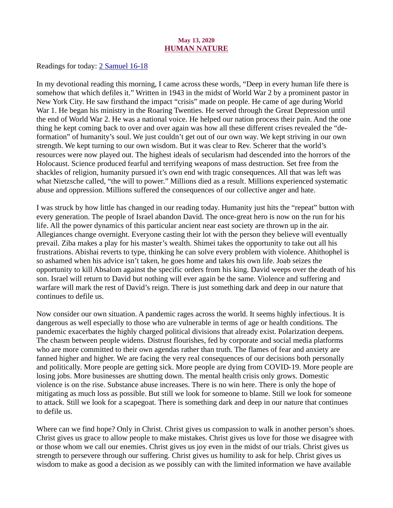### May 13, 2020 HUMAN NATURE

<span id="page-20-0"></span>[Readings for today: 2 Samuel 16-18](https://www.biblegateway.com/passage/?search=2+Samuel+16-18&version=ESV)

In my devotional reading this morning, I came across these words, "Deep in every human life there is somehow that which defiles it." Written in 1943 in the midst of World War 2 by a prominent pastor in New York City. He saw firsthand the impact "crisis" made on people. He came of age during World War 1. He began his ministry in the Roaring Twenties. He served through the Great Depression until the end of World War 2. He was a national voice. He helped our nation process their pain. And the one thing he kept coming back to over and over again was how all these different crises revealed the "deformation" of humanity's soul. We just couldn't get out of our own way. We kept striving in our own strength. We kept turning to our own wisdom. But it was clear to Rev. Scherer that the world's resources were now played out. The highest ideals of secularism had descended into the horrors of the Holocaust. Science produced fearful and terrifying weapons of mass destruction. Set free from the shackles of religion, humanity pursued it's own end with tragic consequences. All that was left was what Nietzsche called, "the will to power." Millions died as a result. Millions experienced systematic abuse and oppression. Millions suffered the consequences of our collective anger and hate.

I was struck by how little has changed in our reading today. Humanity just hits the "repeat" button with every generation. The people of Israel abandon David. The once-great hero is now on the run for his life. All the power dynamics of this particular ancient near east society are thrown up in the air. Allegiances change overnight. Everyone casting their lot with the person they believe will eventually prevail. Ziba makes a play for his master's wealth. Shimei takes the opportunity to take out all his frustrations. Abishai reverts to type, thinking he can solve every problem with violence. Ahithophel is so ashamed when his advice isn't taken, he goes home and takes his own life. Joab seizes the opportunity to kill Absalom against the specific orders from his king. David weeps over the death of his son. Israel will return to David but nothing will ever again be the same. Violence and suffering and warfare will mark the rest of David's reign. There is just something dark and deep in our nature that continues to defile us.

Now consider our own situation. A pandemic rages across the world. It seems highly infectious. It is dangerous as well especially to those who are vulnerable in terms of age or health conditions. The pandemic exacerbates the highly charged political divisions that already exist. Polarization deepens. The chasm between people widens. Distrust flourishes, fed by corporate and social media platforms who are more committed to their own agendas rather than truth. The flames of fear and anxiety are fanned higher and higher. We are facing the very real consequences of our decisions both personally and politically. More people are getting sick. More people are dying from COVID-19. More people are losing jobs. More businesses are shutting down. The mental health crisis only grows. Domestic violence is on the rise. Substance abuse increases. There is no win here. There is only the hope of mitigating as much loss as possible. But still we look for someone to blame. Still we look for someone to attack. Still we look for a scapegoat. There is something dark and deep in our nature that continues to defile us.

Where can we find hope? Only in Christ. Christ gives us compassion to walk in another person's shoes. Christ gives us grace to allow people to make mistakes. Christ gives us love for those we disagree with or those whom we call our enemies. Christ gives us joy even in the midst of our trials. Christ gives us strength to persevere through our suffering. Christ gives us humility to ask for help. Christ gives us wisdom to make as good a decision as we possibly can with the limited information we have available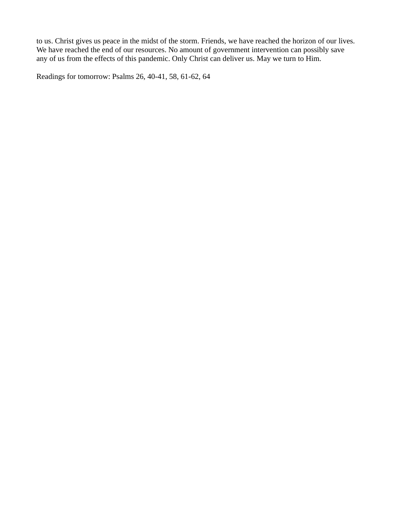to us. Christ gives us peace in the midst of the storm. Friends, we have reached the horizon of our lives. We have reached the end of our resources. No amount of government intervention can possibly save any of us from the effects of this pandemic. Only Christ can deliver us. May we turn to Him.

Readings for tomorrow: Psalms 26, 40-41, 58, 61-62, 64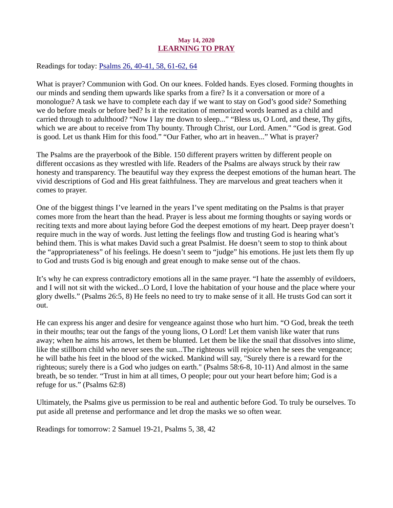# May 14, 2020 LEARNING TO PRAY

<span id="page-22-0"></span>[Readings for today: Psalms 26, 40-41, 58, 61-62, 64](https://www.biblegateway.com/passage/?search=Psalms+26%2C+40-41%2C+58%2C+61-62%2C+64&version=ESV)

What is prayer? Communion with God. On our knees. Folded hands. Eyes closed. Forming thoughts in our minds and sending them upwards like sparks from a fire? Is it a conversation or more of a monologue? A task we have to complete each day if we want to stay on God's good side? Something we do before meals or before bed? Is it the recitation of memorized words learned as a child and carried through to adulthood? "Now I lay me down to sleep..." "Bless us, O Lord, and these, Thy gifts, which we are about to receive from Thy bounty. Through Christ, our Lord. Amen." "God is great. God is good. Let us thank Him for this food." "Our Father, who art in heaven..." What is prayer?

The Psalms are the prayerbook of the Bible. 150 different prayers written by different people on different occasions as they wrestled with life. Readers of the Psalms are always struck by their raw honesty and transparency. The beautiful way they express the deepest emotions of the human heart. The vivid descriptions of God and His great faithfulness. They are marvelous and great teachers when it comes to prayer.

One of the biggest things I've learned in the years I've spent meditating on the Psalms is that prayer comes more from the heart than the head. Prayer is less about me forming thoughts or saying words or reciting texts and more about laying before God the deepest emotions of my heart. Deep prayer doesn't require much in the way of words. Just letting the feelings flow and trusting God is hearing what's behind them. This is what makes David such a great Psalmist. He doesn't seem to stop to think about the "appropriateness" of his feelings. He doesn't seem to "judge" his emotions. He just lets them fly up to God and trusts God is big enough and great enough to make sense out of the chaos.

It's why he can express contradictory emotions all in the same prayer. "I hate the assembly of evildoers, and I will not sit with the wicked...O Lord, I love the habitation of your house and the place where your glory dwells." (Psalms 26:5, 8) He feels no need to try to make sense of it all. He trusts God can sort it out.

He can express his anger and desire for vengeance against those who hurt him. "O God, break the teeth in their mouths; tear out the fangs of the young lions, O Lord! Let them vanish like water that runs away; when he aims his arrows, let them be blunted. Let them be like the snail that dissolves into slime, like the stillborn child who never sees the sun...The righteous will rejoice when he sees the vengeance; he will bathe his feet in the blood of the wicked. Mankind will say, "Surely there is a reward for the righteous; surely there is a God who judges on earth." (Psalms 58:6-8, 10-11) And almost in the same breath, be so tender. "Trust in him at all times, O people; pour out your heart before him; God is a refuge for us." (Psalms 62:8)

Ultimately, the Psalms give us permission to be real and authentic before God. To truly be ourselves. To put aside all pretense and performance and let drop the masks we so often wear.

Readings for tomorrow: 2 Samuel 19-21, Psalms 5, 38, 42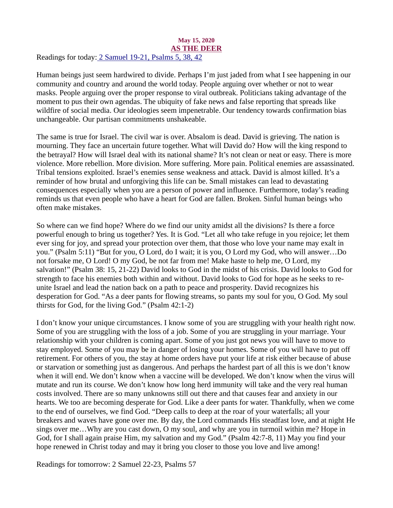### <span id="page-23-0"></span>May 15, 2020 AS THE DEER [Readings for today: 2 Samuel 19-21, Psalms 5, 38, 42](https://www.biblegateway.com/passage/?search=+2+Samuel+19-21%2C+Psalms+5%2C+38%2C+42&version=ESV)

Human beings just seem hardwired to divide. Perhaps I'm just jaded from what I see happening in our community and country and around the world today. People arguing over whether or not to wear masks. People arguing over the proper response to viral outbreak. Politicians taking advantage of the moment to pus their own agendas. The ubiquity of fake news and false reporting that spreads like wildfire of social media. Our ideologies seem impenetrable. Our tendency towards confirmation bias unchangeable. Our partisan commitments unshakeable.

The same is true for Israel. The civil war is over. Absalom is dead. David is grieving. The nation is mourning. They face an uncertain future together. What will David do? How will the king respond to the betrayal? How will Israel deal with its national shame? It's not clean or neat or easy. There is more violence. More rebellion. More division. More suffering. More pain. Political enemies are assassinated. Tribal tensions exploited. Israel's enemies sense weakness and attack. David is almost killed. It's a reminder of how brutal and unforgiving this life can be. Small mistakes can lead to devastating consequences especially when you are a person of power and influence. Furthermore, today's reading reminds us that even people who have a heart for God are fallen. Broken. Sinful human beings who often make mistakes.

So where can we find hope? Where do we find our unity amidst all the divisions? Is there a force powerful enough to bring us together? Yes. It is God. "Let all who take refuge in you rejoice; let them ever sing for joy, and spread your protection over them, that those who love your name may exalt in you." (Psalm 5:11) "But for you, O Lord, do I wait; it is you, O Lord my God, who will answer…Do not forsake me, O Lord! O my God, be not far from me! Make haste to help me, O Lord, my salvation!" (Psalm 38: 15, 21-22) David looks to God in the midst of his crisis. David looks to God for strength to face his enemies both within and without. David looks to God for hope as he seeks to reunite Israel and lead the nation back on a path to peace and prosperity. David recognizes his desperation for God. "As a deer pants for flowing streams, so pants my soul for you, O God. My soul thirsts for God, for the living God." (Psalm 42:1-2)

I don't know your unique circumstances. I know some of you are struggling with your health right now. Some of you are struggling with the loss of a job. Some of you are struggling in your marriage. Your relationship with your children is coming apart. Some of you just got news you will have to move to stay employed. Some of you may be in danger of losing your homes. Some of you will have to put off retirement. For others of you, the stay at home orders have put your life at risk either because of abuse or starvation or something just as dangerous. And perhaps the hardest part of all this is we don't know when it will end. We don't know when a vaccine will be developed. We don't know when the virus will mutate and run its course. We don't know how long herd immunity will take and the very real human costs involved. There are so many unknowns still out there and that causes fear and anxiety in our hearts. We too are becoming desperate for God. Like a deer pants for water. Thankfully, when we come to the end of ourselves, we find God. "Deep calls to deep at the roar of your waterfalls; all your breakers and waves have gone over me. By day, the Lord commands His steadfast love, and at night He sings over me…Why are you cast down, O my soul, and why are you in turmoil within me? Hope in God, for I shall again praise Him, my salvation and my God." (Psalm 42:7-8, 11) May you find your hope renewed in Christ today and may it bring you closer to those you love and live among!

Readings for tomorrow: 2 Samuel 22-23, Psalms 57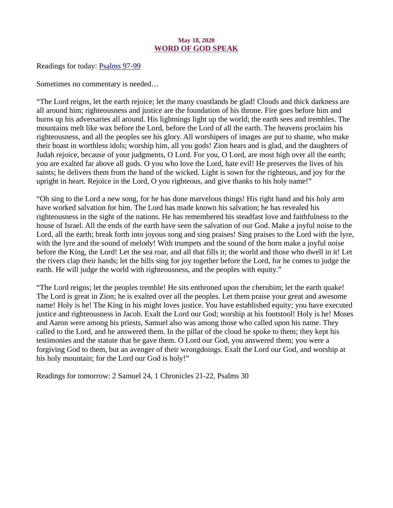# May 18, 2020 WORD OF GOD SPEAK

<span id="page-24-0"></span>[Readings for today: Psalms 97-99](https://www.biblegateway.com/passage/?search=Psalms+97-99&version=ESV)

Sometimes no commentary is needed…

"The Lord reigns, let the earth rejoice; let the many coastlands be glad! Clouds and thick darkness are all around him; righteousness and justice are the foundation of his throne. Fire goes before him and burns up his adversaries all around. His lightnings light up the world; the earth sees and trembles. The mountains melt like wax before the Lord, before the Lord of all the earth. The heavens proclaim his righteousness, and all the peoples see his glory. All worshipers of images are put to shame, who make their boast in worthless idols; worship him, all you gods! Zion hears and is glad, and the daughters of Judah rejoice, because of your judgments, O Lord. For you, O Lord, are most high over all the earth; you are exalted far above all gods. O you who love the Lord, hate evil! He preserves the lives of his saints; he delivers them from the hand of the wicked. Light is sown for the righteous, and joy for the upright in heart. Rejoice in the Lord, O you righteous, and give thanks to his holy name!"

"Oh sing to the Lord a new song, for he has done marvelous things! His right hand and his holy arm have worked salvation for him. The Lord has made known his salvation; he has revealed his righteousness in the sight of the nations. He has remembered his steadfast love and faithfulness to the house of Israel. All the ends of the earth have seen the salvation of our God. Make a joyful noise to the Lord, all the earth; break forth into joyous song and sing praises! Sing praises to the Lord with the lyre, with the lyre and the sound of melody! With trumpets and the sound of the horn make a joyful noise before the King, the Lord! Let the sea roar, and all that fills it; the world and those who dwell in it! Let the rivers clap their hands; let the hills sing for joy together before the Lord, for he comes to judge the earth. He will judge the world with righteousness, and the peoples with equity."

"The Lord reigns; let the peoples tremble! He sits enthroned upon the cherubim; let the earth quake! The Lord is great in Zion; he is exalted over all the peoples. Let them praise your great and awesome name! Holy is he! The King in his might loves justice. You have established equity; you have executed justice and righteousness in Jacob. Exalt the Lord our God; worship at his footstool! Holy is he! Moses and Aaron were among his priests, Samuel also was among those who called upon his name. They called to the Lord, and he answered them. In the pillar of the cloud he spoke to them; they kept his testimonies and the statute that he gave them. O Lord our God, you answered them; you were a forgiving God to them, but an avenger of their wrongdoings. Exalt the Lord our God, and worship at his holy mountain; for the Lord our God is holy!"

Readings for tomorrow: 2 Samuel 24, 1 Chronicles 21-22, Psalms 30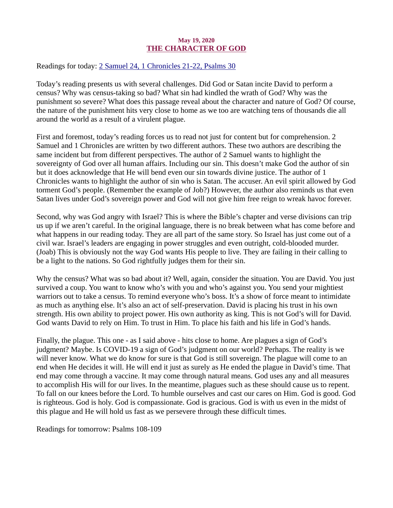# May 19, 2020 THE CHARACTER OF GOD

<span id="page-25-0"></span>[Readings for today: 2 Samuel 24, 1 Chronicles 21-22, Psalms 30](https://www.biblegateway.com/passage/?search=2+Samuel+24%2C+1+Chronicles+21-22%2C+Psalms+30&version=ESV)

Today's reading presents us with several challenges. Did God or Satan incite David to perform a census? Why was census-taking so bad? What sin had kindled the wrath of God? Why was the punishment so severe? What does this passage reveal about the character and nature of God? Of course, the nature of the punishment hits very close to home as we too are watching tens of thousands die all around the world as a result of a virulent plague.

First and foremost, today's reading forces us to read not just for content but for comprehension. 2 Samuel and 1 Chronicles are written by two different authors. These two authors are describing the same incident but from different perspectives. The author of 2 Samuel wants to highlight the sovereignty of God over all human affairs. Including our sin. This doesn't make God the author of sin but it does acknowledge that He will bend even our sin towards divine justice. The author of 1 Chronicles wants to highlight the author of sin who is Satan. The accuser. An evil spirit allowed by God torment God's people. (Remember the example of Job?) However, the author also reminds us that even Satan lives under God's sovereign power and God will not give him free reign to wreak havoc forever.

Second, why was God angry with Israel? This is where the Bible's chapter and verse divisions can trip us up if we aren't careful. In the original language, there is no break between what has come before and what happens in our reading today. They are all part of the same story. So Israel has just come out of a civil war. Israel's leaders are engaging in power struggles and even outright, cold-blooded murder. (Joab) This is obviously not the way God wants His people to live. They are failing in their calling to be a light to the nations. So God rightfully judges them for their sin.

Why the census? What was so bad about it? Well, again, consider the situation. You are David. You just survived a coup. You want to know who's with you and who's against you. You send your mightiest warriors out to take a census. To remind everyone who's boss. It's a show of force meant to intimidate as much as anything else. It's also an act of self-preservation. David is placing his trust in his own strength. His own ability to project power. His own authority as king. This is not God's will for David. God wants David to rely on Him. To trust in Him. To place his faith and his life in God's hands.

Finally, the plague. This one - as I said above - hits close to home. Are plagues a sign of God's judgment? Maybe. Is COVID-19 a sign of God's judgment on our world? Perhaps. The reality is we will never know. What we do know for sure is that God is still sovereign. The plague will come to an end when He decides it will. He will end it just as surely as He ended the plague in David's time. That end may come through a vaccine. It may come through natural means. God uses any and all measures to accomplish His will for our lives. In the meantime, plagues such as these should cause us to repent. To fall on our knees before the Lord. To humble ourselves and cast our cares on Him. God is good. God is righteous. God is holy. God is compassionate. God is gracious. God is with us even in the midst of this plague and He will hold us fast as we persevere through these difficult times.

Readings for tomorrow: Psalms 108-109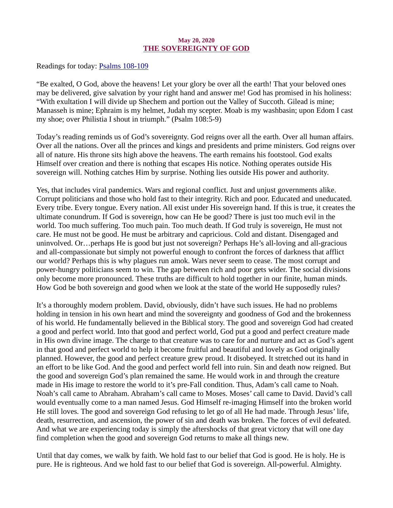#### May 20, 2020 THE SOVEREIGNTY OF GOD

<span id="page-26-0"></span>[Readings for today: Psalms 108-109](https://www.biblegateway.com/passage/?search=Psalms+108-109&version=ESV)

"Be exalted, O God, above the heavens! Let your glory be over all the earth! That your beloved ones may be delivered, give salvation by your right hand and answer me! God has promised in his holiness: "With exultation I will divide up Shechem and portion out the Valley of Succoth. Gilead is mine; Manasseh is mine; Ephraim is my helmet, Judah my scepter. Moab is my washbasin; upon Edom I cast my shoe; over Philistia I shout in triumph." (Psalm 108:5-9)

Today's reading reminds us of God's sovereignty. God reigns over all the earth. Over all human affairs. Over all the nations. Over all the princes and kings and presidents and prime ministers. God reigns over all of nature. His throne sits high above the heavens. The earth remains his footstool. God exalts Himself over creation and there is nothing that escapes His notice. Nothing operates outside His sovereign will. Nothing catches Him by surprise. Nothing lies outside His power and authority.

Yes, that includes viral pandemics. Wars and regional conflict. Just and unjust governments alike. Corrupt politicians and those who hold fast to their integrity. Rich and poor. Educated and uneducated. Every tribe. Every tongue. Every nation. All exist under His sovereign hand. If this is true, it creates the ultimate conundrum. If God is sovereign, how can He be good? There is just too much evil in the world. Too much suffering. Too much pain. Too much death. If God truly is sovereign, He must not care. He must not be good. He must be arbitrary and capricious. Cold and distant. Disengaged and uninvolved. Or…perhaps He is good but just not sovereign? Perhaps He's all-loving and all-gracious and all-compassionate but simply not powerful enough to confront the forces of darkness that afflict our world? Perhaps this is why plagues run amok. Wars never seem to cease. The most corrupt and power-hungry politicians seem to win. The gap between rich and poor gets wider. The social divisions only become more pronounced. These truths are difficult to hold together in our finite, human minds. How God be both sovereign and good when we look at the state of the world He supposedly rules?

It's a thoroughly modern problem. David, obviously, didn't have such issues. He had no problems holding in tension in his own heart and mind the sovereignty and goodness of God and the brokenness of his world. He fundamentally believed in the Biblical story. The good and sovereign God had created a good and perfect world. Into that good and perfect world, God put a good and perfect creature made in His own divine image. The charge to that creature was to care for and nurture and act as God's agent in that good and perfect world to help it become fruitful and beautiful and lovely as God originally planned. However, the good and perfect creature grew proud. It disobeyed. It stretched out its hand in an effort to be like God. And the good and perfect world fell into ruin. Sin and death now reigned. But the good and sovereign God's plan remained the same. He would work in and through the creature made in His image to restore the world to it's pre-Fall condition. Thus, Adam's call came to Noah. Noah's call came to Abraham. Abraham's call came to Moses. Moses' call came to David. David's call would eventually come to a man named Jesus. God Himself re-imaging Himself into the broken world He still loves. The good and sovereign God refusing to let go of all He had made. Through Jesus' life, death, resurrection, and ascension, the power of sin and death was broken. The forces of evil defeated. And what we are experiencing today is simply the aftershocks of that great victory that will one day find completion when the good and sovereign God returns to make all things new.

Until that day comes, we walk by faith. We hold fast to our belief that God is good. He is holy. He is pure. He is righteous. And we hold fast to our belief that God is sovereign. All-powerful. Almighty.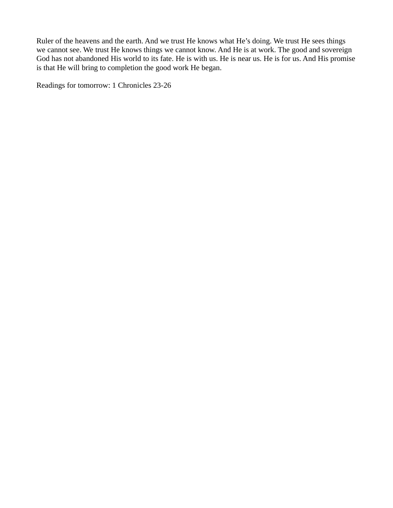Ruler of the heavens and the earth. And we trust He knows what He's doing. We trust He sees things we cannot see. We trust He knows things we cannot know. And He is at work. The good and sovereign God has not abandoned His world to its fate. He is with us. He is near us. He is for us. And His promise is that He will bring to completion the good work He began.

Readings for tomorrow: 1 Chronicles 23-26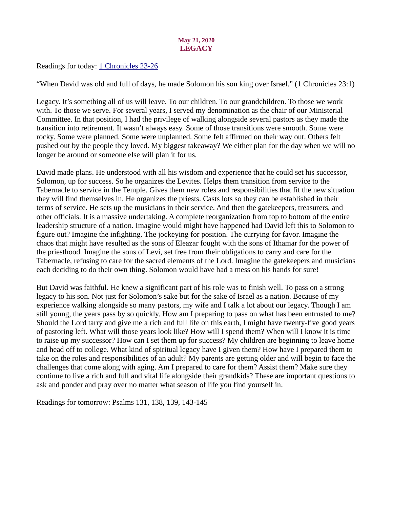# May 21, 2020 **LEGACY**

<span id="page-28-0"></span>[Readings for today: 1 Chronicles 23-26](https://www.biblegateway.com/passage/?search=1+Chronicles+23-26&version=ESV)

"When David was old and full of days, he made Solomon his son king over Israel." (1 Chronicles 23:1)

Legacy. It's something all of us will leave. To our children. To our grandchildren. To those we work with. To those we serve. For several years, I served my denomination as the chair of our Ministerial Committee. In that position, I had the privilege of walking alongside several pastors as they made the transition into retirement. It wasn't always easy. Some of those transitions were smooth. Some were rocky. Some were planned. Some were unplanned. Some felt affirmed on their way out. Others felt pushed out by the people they loved. My biggest takeaway? We either plan for the day when we will no longer be around or someone else will plan it for us.

David made plans. He understood with all his wisdom and experience that he could set his successor, Solomon, up for success. So he organizes the Levites. Helps them transition from service to the Tabernacle to service in the Temple. Gives them new roles and responsibilities that fit the new situation they will find themselves in. He organizes the priests. Casts lots so they can be established in their terms of service. He sets up the musicians in their service. And then the gatekeepers, treasurers, and other officials. It is a massive undertaking. A complete reorganization from top to bottom of the entire leadership structure of a nation. Imagine would might have happened had David left this to Solomon to figure out? Imagine the infighting. The jockeying for position. The currying for favor. Imagine the chaos that might have resulted as the sons of Eleazar fought with the sons of Ithamar for the power of the priesthood. Imagine the sons of Levi, set free from their obligations to carry and care for the Tabernacle, refusing to care for the sacred elements of the Lord. Imagine the gatekeepers and musicians each deciding to do their own thing. Solomon would have had a mess on his hands for sure!

But David was faithful. He knew a significant part of his role was to finish well. To pass on a strong legacy to his son. Not just for Solomon's sake but for the sake of Israel as a nation. Because of my experience walking alongside so many pastors, my wife and I talk a lot about our legacy. Though I am still young, the years pass by so quickly. How am I preparing to pass on what has been entrusted to me? Should the Lord tarry and give me a rich and full life on this earth, I might have twenty-five good years of pastoring left. What will those years look like? How will I spend them? When will I know it is time to raise up my successor? How can I set them up for success? My children are beginning to leave home and head off to college. What kind of spiritual legacy have I given them? How have I prepared them to take on the roles and responsibilities of an adult? My parents are getting older and will begin to face the challenges that come along with aging. Am I prepared to care for them? Assist them? Make sure they continue to live a rich and full and vital life alongside their grandkids? These are important questions to ask and ponder and pray over no matter what season of life you find yourself in.

Readings for tomorrow: Psalms 131, 138, 139, 143-145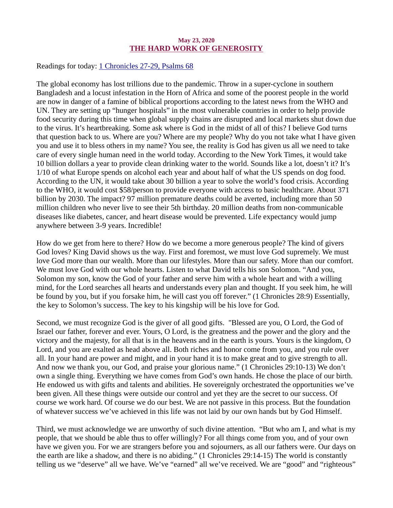### May 23, 2020 THE HARD WORK OF GENEROSITY

<span id="page-29-0"></span>[Readings for today: 1 Chronicles 27-29, Psalms 68](https://www.biblegateway.com/passage/?search=1+Chronicles+27-29%2C+Psalms+68&version=ESV)

The global economy has lost trillions due to the pandemic. Throw in a super-cyclone in southern Bangladesh and a locust infestation in the Horn of Africa and some of the poorest people in the world are now in danger of a famine of biblical proportions according to the latest news from the WHO and UN. They are setting up "hunger hospitals" in the most vulnerable countries in order to help provide food security during this time when global supply chains are disrupted and local markets shut down due to the virus. It's heartbreaking. Some ask where is God in the midst of all of this? I believe God turns that question back to us. Where are you? Where are my people? Why do you not take what I have given you and use it to bless others in my name? You see, the reality is God has given us all we need to take care of every single human need in the world today. According to the New York Times, it would take 10 billion dollars a year to provide clean drinking water to the world. Sounds like a lot, doesn't it? It's 1/10 of what Europe spends on alcohol each year and about half of what the US spends on dog food. According to the UN, it would take about 30 billion a year to solve the world's food crisis. According to the WHO, it would cost \$58/person to provide everyone with access to basic healthcare. About 371 billion by 2030. The impact? 97 million premature deaths could be averted, including more than 50 million children who never live to see their 5th birthday. 20 million deaths from non-communicable diseases like diabetes, cancer, and heart disease would be prevented. Life expectancy would jump anywhere between 3-9 years. Incredible!

How do we get from here to there? How do we become a more generous people? The kind of givers God loves? King David shows us the way. First and foremost, we must love God supremely. We must love God more than our wealth. More than our lifestyles. More than our safety. More than our comfort. We must love God with our whole hearts. Listen to what David tells his son Solomon. "And you, Solomon my son, know the God of your father and serve him with a whole heart and with a willing mind, for the Lord searches all hearts and understands every plan and thought. If you seek him, he will be found by you, but if you forsake him, he will cast you off forever." (1 Chronicles 28:9) Essentially, the key to Solomon's success. The key to his kingship will be his love for God.

Second, we must recognize God is the giver of all good gifts. "Blessed are you, O Lord, the God of Israel our father, forever and ever. Yours, O Lord, is the greatness and the power and the glory and the victory and the majesty, for all that is in the heavens and in the earth is yours. Yours is the kingdom, O Lord, and you are exalted as head above all. Both riches and honor come from you, and you rule over all. In your hand are power and might, and in your hand it is to make great and to give strength to all. And now we thank you, our God, and praise your glorious name." (1 Chronicles 29:10-13) We don't own a single thing. Everything we have comes from God's own hands. He chose the place of our birth. He endowed us with gifts and talents and abilities. He sovereignly orchestrated the opportunities we've been given. All these things were outside our control and yet they are the secret to our success. Of course we work hard. Of course we do our best. We are not passive in this process. But the foundation of whatever success we've achieved in this life was not laid by our own hands but by God Himself.

Third, we must acknowledge we are unworthy of such divine attention. "But who am I, and what is my people, that we should be able thus to offer willingly? For all things come from you, and of your own have we given you. For we are strangers before you and sojourners, as all our fathers were. Our days on the earth are like a shadow, and there is no abiding." (1 Chronicles 29:14-15) The world is constantly telling us we "deserve" all we have. We've "earned" all we've received. We are "good" and "righteous"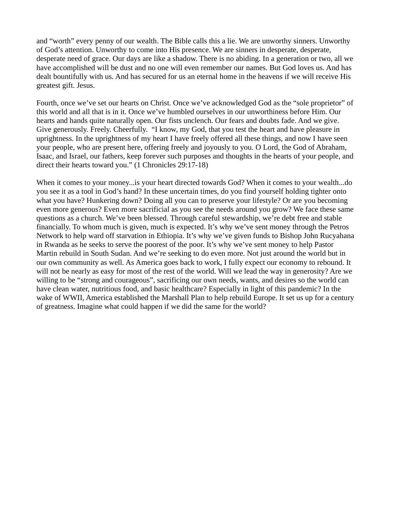and "worth" every penny of our wealth. The Bible calls this a lie. We are unworthy sinners. Unworthy of God's attention. Unworthy to come into His presence. We are sinners in desperate, desperate, desperate need of grace. Our days are like a shadow. There is no abiding. In a generation or two, all we have accomplished will be dust and no one will even remember our names. But God loves us. And has dealt bountifully with us. And has secured for us an eternal home in the heavens if we will receive His greatest gift. Jesus.

Fourth, once we've set our hearts on Christ. Once we've acknowledged God as the "sole proprietor" of this world and all that is in it. Once we've humbled ourselves in our unworthiness before Him. Our hearts and hands quite naturally open. Our fists unclench. Our fears and doubts fade. And we give. Give generously. Freely. Cheerfully. "I know, my God, that you test the heart and have pleasure in uprightness. In the uprightness of my heart I have freely offered all these things, and now I have seen your people, who are present here, offering freely and joyously to you. O Lord, the God of Abraham, Isaac, and Israel, our fathers, keep forever such purposes and thoughts in the hearts of your people, and direct their hearts toward you." (1 Chronicles 29:17-18)

When it comes to your money...is your heart directed towards God? When it comes to your wealth...do you see it as a tool in God's hand? In these uncertain times, do you find yourself holding tighter onto what you have? Hunkering down? Doing all you can to preserve your lifestyle? Or are you becoming even more generous? Even more sacrificial as you see the needs around you grow? We face these same questions as a church. We've been blessed. Through careful stewardship, we're debt free and stable financially. To whom much is given, much is expected. It's why we've sent money through the Petros Network to help ward off starvation in Ethiopia. It's why we've given funds to Bishop John Rucyahana in Rwanda as he seeks to serve the poorest of the poor. It's why we've sent money to help Pastor Martin rebuild in South Sudan. And we're seeking to do even more. Not just around the world but in our own community as well. As America goes back to work, I fully expect our economy to rebound. It will not be nearly as easy for most of the rest of the world. Will we lead the way in generosity? Are we willing to be "strong and courageous", sacrificing our own needs, wants, and desires so the world can have clean water, nutritious food, and basic healthcare? Especially in light of this pandemic? In the wake of WWII, America established the Marshall Plan to help rebuild Europe. It set us up for a century of greatness. Imagine what could happen if we did the same for the world?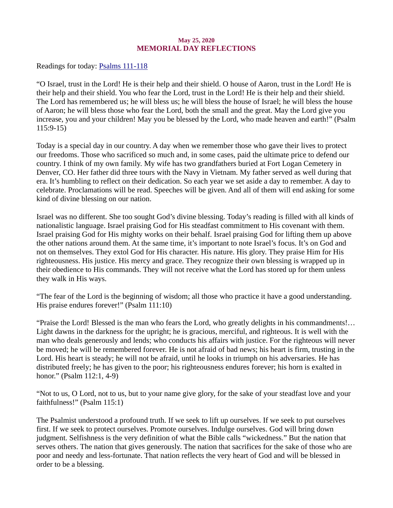# May 25, 2020 MEMORIAL DAY REFLECTIONS

<span id="page-31-0"></span>Readings for today: **Psalms** 111-118

"O Israel, trust in the Lord! He is their help and their shield. O house of Aaron, trust in the Lord! He is their help and their shield. You who fear the Lord, trust in the Lord! He is their help and their shield. The Lord has remembered us; he will bless us; he will bless the house of Israel; he will bless the house of Aaron; he will bless those who fear the Lord, both the small and the great. May the Lord give you increase, you and your children! May you be blessed by the Lord, who made heaven and earth!" (Psalm 115:9-15)

Today is a special day in our country. A day when we remember those who gave their lives to protect our freedoms. Those who sacrificed so much and, in some cases, paid the ultimate price to defend our country. I think of my own family. My wife has two grandfathers buried at Fort Logan Cemetery in Denver, CO. Her father did three tours with the Navy in Vietnam. My father served as well during that era. It's humbling to reflect on their dedication. So each year we set aside a day to remember. A day to celebrate. Proclamations will be read. Speeches will be given. And all of them will end asking for some kind of divine blessing on our nation.

Israel was no different. She too sought God's divine blessing. Today's reading is filled with all kinds of nationalistic language. Israel praising God for His steadfast commitment to His covenant with them. Israel praising God for His mighty works on their behalf. Israel praising God for lifting them up above the other nations around them. At the same time, it's important to note Israel's focus. It's on God and not on themselves. They extol God for His character. His nature. His glory. They praise Him for His righteousness. His justice. His mercy and grace. They recognize their own blessing is wrapped up in their obedience to His commands. They will not receive what the Lord has stored up for them unless they walk in His ways.

"The fear of the Lord is the beginning of wisdom; all those who practice it have a good understanding. His praise endures forever!" (Psalm 111:10)

"Praise the Lord! Blessed is the man who fears the Lord, who greatly delights in his commandments!… Light dawns in the darkness for the upright; he is gracious, merciful, and righteous. It is well with the man who deals generously and lends; who conducts his affairs with justice. For the righteous will never be moved; he will be remembered forever. He is not afraid of bad news; his heart is firm, trusting in the Lord. His heart is steady; he will not be afraid, until he looks in triumph on his adversaries. He has distributed freely; he has given to the poor; his righteousness endures forever; his horn is exalted in honor." (Psalm 112:1, 4-9)

"Not to us, O Lord, not to us, but to your name give glory, for the sake of your steadfast love and your faithfulness!" (Psalm 115:1)

The Psalmist understood a profound truth. If we seek to lift up ourselves. If we seek to put ourselves first. If we seek to protect ourselves. Promote ourselves. Indulge ourselves. God will bring down judgment. Selfishness is the very definition of what the Bible calls "wickedness." But the nation that serves others. The nation that gives generously. The nation that sacrifices for the sake of those who are poor and needy and less-fortunate. That nation reflects the very heart of God and will be blessed in order to be a blessing.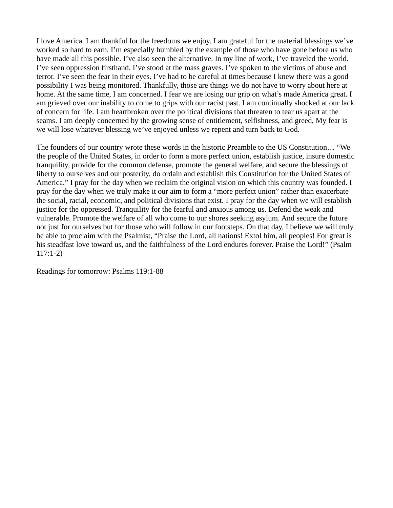I love America. I am thankful for the freedoms we enjoy. I am grateful for the material blessings we've worked so hard to earn. I'm especially humbled by the example of those who have gone before us who have made all this possible. I've also seen the alternative. In my line of work, I've traveled the world. I've seen oppression firsthand. I've stood at the mass graves. I've spoken to the victims of abuse and terror. I've seen the fear in their eyes. I've had to be careful at times because I knew there was a good possibility I was being monitored. Thankfully, those are things we do not have to worry about here at home. At the same time, I am concerned. I fear we are losing our grip on what's made America great. I am grieved over our inability to come to grips with our racist past. I am continually shocked at our lack of concern for life. I am heartbroken over the political divisions that threaten to tear us apart at the seams. I am deeply concerned by the growing sense of entitlement, selfishness, and greed, My fear is we will lose whatever blessing we've enjoyed unless we repent and turn back to God.

The founders of our country wrote these words in the historic Preamble to the US Constitution… "We the people of the United States, in order to form a more perfect union, establish justice, insure domestic tranquility, provide for the common defense, promote the general welfare, and secure the blessings of liberty to ourselves and our posterity, do ordain and establish this Constitution for the United States of America." I pray for the day when we reclaim the original vision on which this country was founded. I pray for the day when we truly make it our aim to form a "more perfect union" rather than exacerbate the social, racial, economic, and political divisions that exist. I pray for the day when we will establish justice for the oppressed. Tranquility for the fearful and anxious among us. Defend the weak and vulnerable. Promote the welfare of all who come to our shores seeking asylum. And secure the future not just for ourselves but for those who will follow in our footsteps. On that day, I believe we will truly be able to proclaim with the Psalmist, "Praise the Lord, all nations! Extol him, all peoples! For great is his steadfast love toward us, and the faithfulness of the Lord endures forever. Praise the Lord!" (Psalm 117:1-2)

Readings for tomorrow: Psalms 119:1-88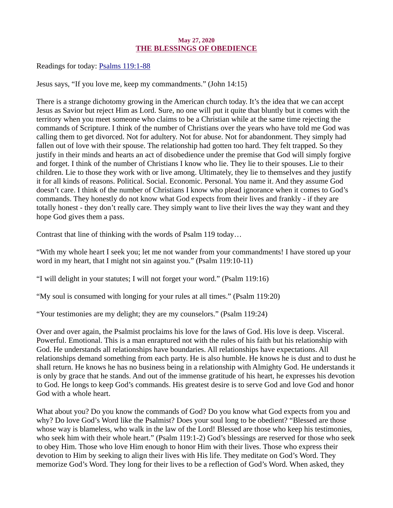# May 27, 2020 THE BLESSINGS OF OBEDIENCE

<span id="page-33-0"></span>[Readings for today: Psalms 119:1-88](https://www.biblegateway.com/passage/?search=Psalms+119%3A1-88&version=ESV)

Jesus says, "If you love me, keep my commandments." (John 14:15)

There is a strange dichotomy growing in the American church today. It's the idea that we can accept Jesus as Savior but reject Him as Lord. Sure, no one will put it quite that bluntly but it comes with the territory when you meet someone who claims to be a Christian while at the same time rejecting the commands of Scripture. I think of the number of Christians over the years who have told me God was calling them to get divorced. Not for adultery. Not for abuse. Not for abandonment. They simply had fallen out of love with their spouse. The relationship had gotten too hard. They felt trapped. So they justify in their minds and hearts an act of disobedience under the premise that God will simply forgive and forget. I think of the number of Christians I know who lie. They lie to their spouses. Lie to their children. Lie to those they work with or live among. Ultimately, they lie to themselves and they justify it for all kinds of reasons. Political. Social. Economic. Personal. You name it. And they assume God doesn't care. I think of the number of Christians I know who plead ignorance when it comes to God's commands. They honestly do not know what God expects from their lives and frankly - if they are totally honest - they don't really care. They simply want to live their lives the way they want and they hope God gives them a pass.

Contrast that line of thinking with the words of Psalm 119 today…

"With my whole heart I seek you; let me not wander from your commandments! I have stored up your word in my heart, that I might not sin against you." (Psalm 119:10-11)

"I will delight in your statutes; I will not forget your word." (Psalm 119:16)

"My soul is consumed with longing for your rules at all times." (Psalm 119:20)

"Your testimonies are my delight; they are my counselors." (Psalm 119:24)

Over and over again, the Psalmist proclaims his love for the laws of God. His love is deep. Visceral. Powerful. Emotional. This is a man enraptured not with the rules of his faith but his relationship with God. He understands all relationships have boundaries. All relationships have expectations. All relationships demand something from each party. He is also humble. He knows he is dust and to dust he shall return. He knows he has no business being in a relationship with Almighty God. He understands it is only by grace that he stands. And out of the immense gratitude of his heart, he expresses his devotion to God. He longs to keep God's commands. His greatest desire is to serve God and love God and honor God with a whole heart.

What about you? Do you know the commands of God? Do you know what God expects from you and why? Do love God's Word like the Psalmist? Does your soul long to be obedient? "Blessed are those whose way is blameless, who walk in the law of the Lord! Blessed are those who keep his testimonies, who seek him with their whole heart." (Psalm 119:1-2) God's blessings are reserved for those who seek to obey Him. Those who love Him enough to honor Him with their lives. Those who express their devotion to Him by seeking to align their lives with His life. They meditate on God's Word. They memorize God's Word. They long for their lives to be a reflection of God's Word. When asked, they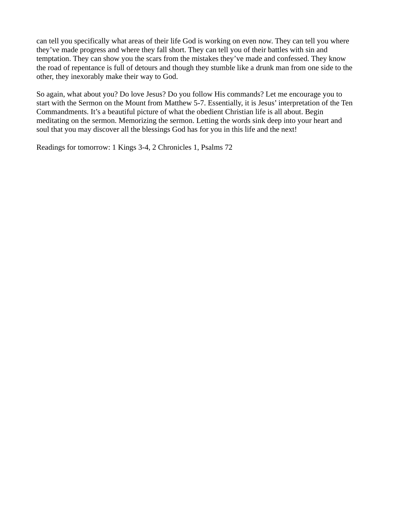can tell you specifically what areas of their life God is working on even now. They can tell you where they've made progress and where they fall short. They can tell you of their battles with sin and temptation. They can show you the scars from the mistakes they've made and confessed. They know the road of repentance is full of detours and though they stumble like a drunk man from one side to the other, they inexorably make their way to God.

So again, what about you? Do love Jesus? Do you follow His commands? Let me encourage you to start with the Sermon on the Mount from Matthew 5-7. Essentially, it is Jesus' interpretation of the Ten Commandments. It's a beautiful picture of what the obedient Christian life is all about. Begin meditating on the sermon. Memorizing the sermon. Letting the words sink deep into your heart and soul that you may discover all the blessings God has for you in this life and the next!

Readings for tomorrow: 1 Kings 3-4, 2 Chronicles 1, Psalms 72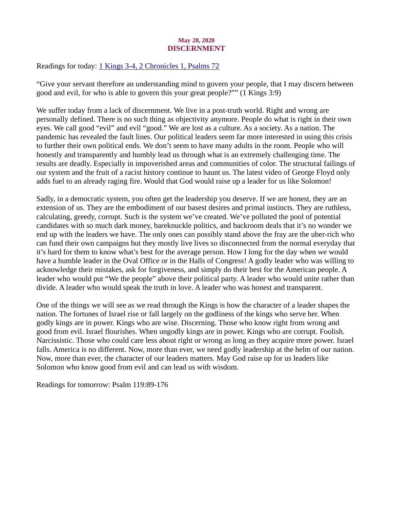# May 28, 2020 DISCERNMENT

<span id="page-35-0"></span>[Readings for today: 1 Kings 3-4, 2 Chronicles 1, Psalms 72](https://www.biblegateway.com/passage/?search=1+Kings+3-4%2C+2+Chronicles+1%2C+Psalms+72&version=ESV)

"Give your servant therefore an understanding mind to govern your people, that I may discern between good and evil, for who is able to govern this your great people?"" (1 Kings 3:9)

We suffer today from a lack of discernment. We live in a post-truth world. Right and wrong are personally defined. There is no such thing as objectivity anymore. People do what is right in their own eyes. We call good "evil" and evil "good." We are lost as a culture. As a society. As a nation. The pandemic has revealed the fault lines. Our political leaders seem far more interested in using this crisis to further their own political ends. We don't seem to have many adults in the room. People who will honestly and transparently and humbly lead us through what is an extremely challenging time. The results are deadly. Especially in impoverished areas and communities of color. The structural failings of our system and the fruit of a racist history continue to haunt us. The latest video of George Floyd only adds fuel to an already raging fire. Would that God would raise up a leader for us like Solomon!

Sadly, in a democratic system, you often get the leadership you deserve. If we are honest, they are an extension of us. They are the embodiment of our basest desires and primal instincts. They are ruthless, calculating, greedy, corrupt. Such is the system we've created. We've polluted the pool of potential candidates with so much dark money, bareknuckle politics, and backroom deals that it's no wonder we end up with the leaders we have. The only ones can possibly stand above the fray are the uber-rich who can fund their own campaigns but they mostly live lives so disconnected from the normal everyday that it's hard for them to know what's best for the average person. How I long for the day when we would have a humble leader in the Oval Office or in the Halls of Congress! A godly leader who was willing to acknowledge their mistakes, ask for forgiveness, and simply do their best for the American people. A leader who would put "We the people" above their political party. A leader who would unite rather than divide. A leader who would speak the truth in love. A leader who was honest and transparent.

One of the things we will see as we read through the Kings is how the character of a leader shapes the nation. The fortunes of Israel rise or fall largely on the godliness of the kings who serve her. When godly kings are in power. Kings who are wise. Discerning. Those who know right from wrong and good from evil. Israel flourishes. When ungodly kings are in power. Kings who are corrupt. Foolish. Narcissistic. Those who could care less about right or wrong as long as they acquire more power. Israel falls. America is no different. Now, more than ever, we need godly leadership at the helm of our nation. Now, more than ever, the character of our leaders matters. May God raise up for us leaders like Solomon who know good from evil and can lead us with wisdom.

Readings for tomorrow: Psalm 119:89-176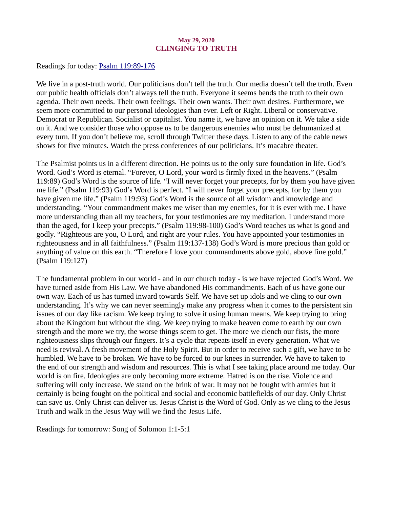### May 29, 2020 CLINGING TO TRUTH

<span id="page-36-0"></span>[Readings for today: Psalm 119:89-176](https://www.biblegateway.com/passage/?search=Psalm+119%3A89-176&version=ESV)

We live in a post-truth world. Our politicians don't tell the truth. Our media doesn't tell the truth. Even our public health officials don't always tell the truth. Everyone it seems bends the truth to their own agenda. Their own needs. Their own feelings. Their own wants. Their own desires. Furthermore, we seem more committed to our personal ideologies than ever. Left or Right. Liberal or conservative. Democrat or Republican. Socialist or capitalist. You name it, we have an opinion on it. We take a side on it. And we consider those who oppose us to be dangerous enemies who must be dehumanized at every turn. If you don't believe me, scroll through Twitter these days. Listen to any of the cable news shows for five minutes. Watch the press conferences of our politicians. It's macabre theater.

The Psalmist points us in a different direction. He points us to the only sure foundation in life. God's Word. God's Word is eternal. "Forever, O Lord, your word is firmly fixed in the heavens." (Psalm 119:89) God's Word is the source of life. "I will never forget your precepts, for by them you have given me life." (Psalm 119:93) God's Word is perfect. "I will never forget your precepts, for by them you have given me life." (Psalm 119:93) God's Word is the source of all wisdom and knowledge and understanding. "Your commandment makes me wiser than my enemies, for it is ever with me. I have more understanding than all my teachers, for your testimonies are my meditation. I understand more than the aged, for I keep your precepts." (Psalm 119:98-100) God's Word teaches us what is good and godly. "Righteous are you, O Lord, and right are your rules. You have appointed your testimonies in righteousness and in all faithfulness." (Psalm 119:137-138) God's Word is more precious than gold or anything of value on this earth. "Therefore I love your commandments above gold, above fine gold." (Psalm 119:127)

The fundamental problem in our world - and in our church today - is we have rejected God's Word. We have turned aside from His Law. We have abandoned His commandments. Each of us have gone our own way. Each of us has turned inward towards Self. We have set up idols and we cling to our own understanding. It's why we can never seemingly make any progress when it comes to the persistent sin issues of our day like racism. We keep trying to solve it using human means. We keep trying to bring about the Kingdom but without the king. We keep trying to make heaven come to earth by our own strength and the more we try, the worse things seem to get. The more we clench our fists, the more righteousness slips through our fingers. It's a cycle that repeats itself in every generation. What we need is revival. A fresh movement of the Holy Spirit. But in order to receive such a gift, we have to be humbled. We have to be broken. We have to be forced to our knees in surrender. We have to taken to the end of our strength and wisdom and resources. This is what I see taking place around me today. Our world is on fire. Ideologies are only becoming more extreme. Hatred is on the rise. Violence and suffering will only increase. We stand on the brink of war. It may not be fought with armies but it certainly is being fought on the political and social and economic battlefields of our day. Only Christ can save us. Only Christ can deliver us. Jesus Christ is the Word of God. Only as we cling to the Jesus Truth and walk in the Jesus Way will we find the Jesus Life.

Readings for tomorrow: Song of Solomon 1:1-5:1